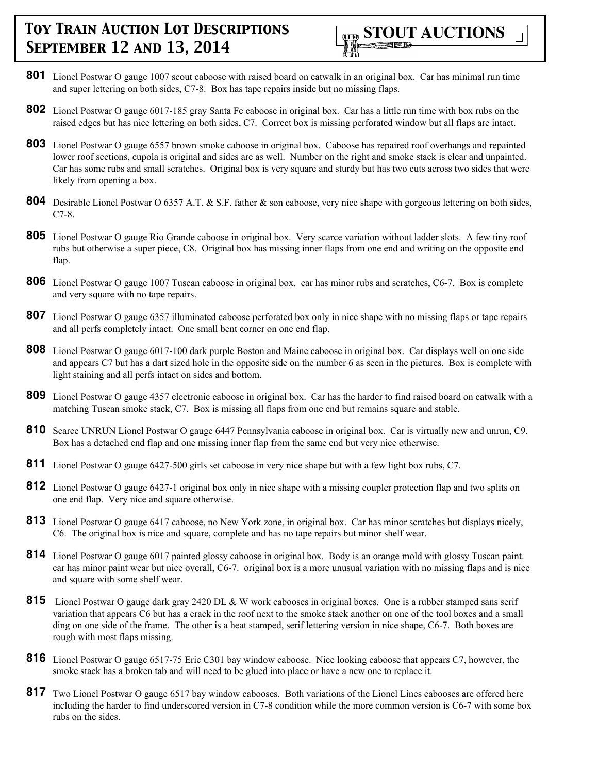- **801** Lionel Postwar O gauge 1007 scout caboose with raised board on catwalk in an original box. Car has minimal run time and super lettering on both sides, C7-8. Box has tape repairs inside but no missing flaps.
- **802** Lionel Postwar O gauge 6017-185 gray Santa Fe caboose in original box. Car has a little run time with box rubs on the raised edges but has nice lettering on both sides, C7. Correct box is missing perforated window but all flaps are intact.
- **803** Lionel Postwar O gauge 6557 brown smoke caboose in original box. Caboose has repaired roof overhangs and repainted lower roof sections, cupola is original and sides are as well. Number on the right and smoke stack is clear and unpainted. Car has some rubs and small scratches. Original box is very square and sturdy but has two cuts across two sides that were likely from opening a box.
- **804** Desirable Lionel Postwar O 6357 A.T. & S.F. father & son caboose, very nice shape with gorgeous lettering on both sides, C7-8.
- **805** Lionel Postwar O gauge Rio Grande caboose in original box. Very scarce variation without ladder slots. A few tiny roof rubs but otherwise a super piece, C8. Original box has missing inner flaps from one end and writing on the opposite end flap.
- **806** Lionel Postwar O gauge 1007 Tuscan caboose in original box. car has minor rubs and scratches, C6-7. Box is complete and very square with no tape repairs.
- **807** Lionel Postwar O gauge 6357 illuminated caboose perforated box only in nice shape with no missing flaps or tape repairs and all perfs completely intact. One small bent corner on one end flap.
- **808** Lionel Postwar O gauge 6017-100 dark purple Boston and Maine caboose in original box. Car displays well on one side and appears C7 but has a dart sized hole in the opposite side on the number 6 as seen in the pictures. Box is complete with light staining and all perfs intact on sides and bottom.
- **809** Lionel Postwar O gauge 4357 electronic caboose in original box. Car has the harder to find raised board on catwalk with a matching Tuscan smoke stack, C7. Box is missing all flaps from one end but remains square and stable.
- **810** Scarce UNRUN Lionel Postwar O gauge 6447 Pennsylvania caboose in original box. Car is virtually new and unrun, C9. Box has a detached end flap and one missing inner flap from the same end but very nice otherwise.
- **811** Lionel Postwar O gauge 6427-500 girls set caboose in very nice shape but with a few light box rubs, C7.
- **812** Lionel Postwar O gauge 6427-1 original box only in nice shape with a missing coupler protection flap and two splits on one end flap. Very nice and square otherwise.
- **813** Lionel Postwar O gauge 6417 caboose, no New York zone, in original box. Car has minor scratches but displays nicely, C6. The original box is nice and square, complete and has no tape repairs but minor shelf wear.
- **814** Lionel Postwar O gauge 6017 painted glossy caboose in original box. Body is an orange mold with glossy Tuscan paint. car has minor paint wear but nice overall, C6-7. original box is a more unusual variation with no missing flaps and is nice and square with some shelf wear.
- 815 Lionel Postwar O gauge dark gray 2420 DL & W work cabooses in original boxes. One is a rubber stamped sans serif variation that appears C6 but has a crack in the roof next to the smoke stack another on one of the tool boxes and a small ding on one side of the frame. The other is a heat stamped, serif lettering version in nice shape, C6-7. Both boxes are rough with most flaps missing.
- **816** Lionel Postwar O gauge 6517-75 Erie C301 bay window caboose. Nice looking caboose that appears C7, however, the smoke stack has a broken tab and will need to be glued into place or have a new one to replace it.
- **817** Two Lionel Postwar O gauge 6517 bay window cabooses. Both variations of the Lionel Lines cabooses are offered here including the harder to find underscored version in C7-8 condition while the more common version is C6-7 with some box rubs on the sides.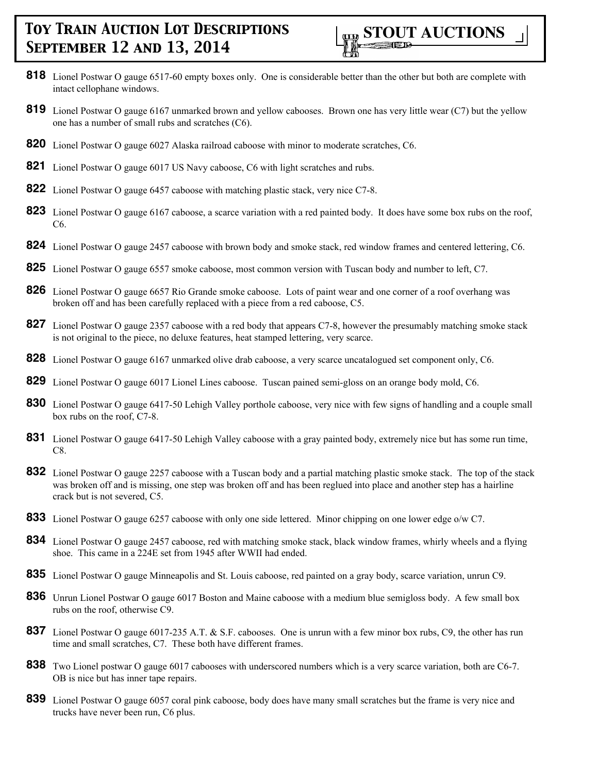

- **818** Lionel Postwar O gauge 6517-60 empty boxes only. One is considerable better than the other but both are complete with intact cellophane windows.
- **819** Lionel Postwar O gauge 6167 unmarked brown and yellow cabooses. Brown one has very little wear (C7) but the yellow one has a number of small rubs and scratches (C6).
- **820** Lionel Postwar O gauge 6027 Alaska railroad caboose with minor to moderate scratches, C6.
- **821** Lionel Postwar O gauge 6017 US Navy caboose, C6 with light scratches and rubs.
- **822** Lionel Postwar O gauge 6457 caboose with matching plastic stack, very nice C7-8.
- **823** Lionel Postwar O gauge 6167 caboose, a scarce variation with a red painted body. It does have some box rubs on the roof, C6.
- **824** Lionel Postwar O gauge 2457 caboose with brown body and smoke stack, red window frames and centered lettering, C6.
- **825** Lionel Postwar O gauge 6557 smoke caboose, most common version with Tuscan body and number to left, C7.
- **826** Lionel Postwar O gauge 6657 Rio Grande smoke caboose. Lots of paint wear and one corner of a roof overhang was broken off and has been carefully replaced with a piece from a red caboose, C5.
- **827** Lionel Postwar O gauge 2357 caboose with a red body that appears C7-8, however the presumably matching smoke stack is not original to the piece, no deluxe features, heat stamped lettering, very scarce.
- **828** Lionel Postwar O gauge 6167 unmarked olive drab caboose, a very scarce uncatalogued set component only, C6.
- **829** Lionel Postwar O gauge 6017 Lionel Lines caboose. Tuscan pained semi-gloss on an orange body mold, C6.
- **830** Lionel Postwar O gauge 6417-50 Lehigh Valley porthole caboose, very nice with few signs of handling and a couple small box rubs on the roof, C7-8.
- **831** Lionel Postwar O gauge 6417-50 Lehigh Valley caboose with a gray painted body, extremely nice but has some run time, C8.
- **832** Lionel Postwar O gauge 2257 caboose with a Tuscan body and a partial matching plastic smoke stack. The top of the stack was broken off and is missing, one step was broken off and has been reglued into place and another step has a hairline crack but is not severed, C5.
- **833** Lionel Postwar O gauge 6257 caboose with only one side lettered. Minor chipping on one lower edge o/w C7.
- **834** Lionel Postwar O gauge 2457 caboose, red with matching smoke stack, black window frames, whirly wheels and a flying shoe. This came in a 224E set from 1945 after WWII had ended.
- **835** Lionel Postwar O gauge Minneapolis and St. Louis caboose, red painted on a gray body, scarce variation, unrun C9.
- **836** Unrun Lionel Postwar O gauge 6017 Boston and Maine caboose with a medium blue semigloss body. A few small box rubs on the roof, otherwise C9.
- **837** Lionel Postwar O gauge 6017-235 A.T. & S.F. cabooses. One is unrun with a few minor box rubs, C9, the other has run time and small scratches, C7. These both have different frames.
- **838** Two Lionel postwar O gauge 6017 cabooses with underscored numbers which is a very scarce variation, both are C6-7. OB is nice but has inner tape repairs.
- **839** Lionel Postwar O gauge 6057 coral pink caboose, body does have many small scratches but the frame is very nice and trucks have never been run, C6 plus.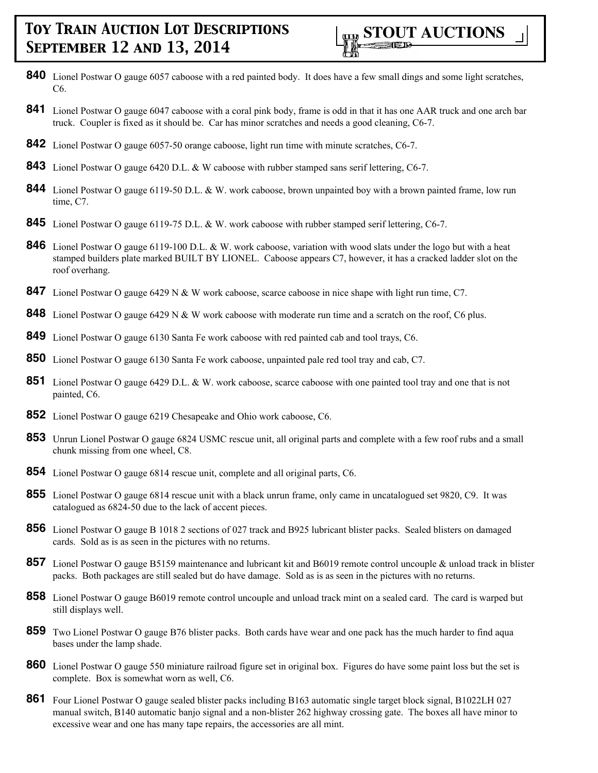

- **840** Lionel Postwar O gauge 6057 caboose with a red painted body. It does have a few small dings and some light scratches,  $C6$
- **841** Lionel Postwar O gauge 6047 caboose with a coral pink body, frame is odd in that it has one AAR truck and one arch bar truck. Coupler is fixed as it should be. Car has minor scratches and needs a good cleaning, C6-7.
- **842** Lionel Postwar O gauge 6057-50 orange caboose, light run time with minute scratches, C6-7.
- **843** Lionel Postwar O gauge 6420 D.L. & W caboose with rubber stamped sans serif lettering, C6-7.
- **844** Lionel Postwar O gauge 6119-50 D.L. & W. work caboose, brown unpainted boy with a brown painted frame, low run time, C7.
- **845** Lionel Postwar O gauge 6119-75 D.L. & W. work caboose with rubber stamped serif lettering, C6-7.
- **846** Lionel Postwar O gauge 6119-100 D.L. & W. work caboose, variation with wood slats under the logo but with a heat stamped builders plate marked BUILT BY LIONEL. Caboose appears C7, however, it has a cracked ladder slot on the roof overhang.
- **847** Lionel Postwar O gauge 6429 N & W work caboose, scarce caboose in nice shape with light run time, C7.
- **848** Lionel Postwar O gauge 6429 N & W work caboose with moderate run time and a scratch on the roof, C6 plus.
- **849** Lionel Postwar O gauge 6130 Santa Fe work caboose with red painted cab and tool trays, C6.
- **850** Lionel Postwar O gauge 6130 Santa Fe work caboose, unpainted pale red tool tray and cab, C7.
- **851** Lionel Postwar O gauge 6429 D.L. & W. work caboose, scarce caboose with one painted tool tray and one that is not painted, C6.
- **852** Lionel Postwar O gauge 6219 Chesapeake and Ohio work caboose, C6.
- **853** Unrun Lionel Postwar O gauge 6824 USMC rescue unit, all original parts and complete with a few roof rubs and a small chunk missing from one wheel, C8.
- **854** Lionel Postwar O gauge 6814 rescue unit, complete and all original parts, C6.
- **855** Lionel Postwar O gauge 6814 rescue unit with a black unrun frame, only came in uncatalogued set 9820, C9. It was catalogued as 6824-50 due to the lack of accent pieces.
- **856** Lionel Postwar O gauge B 1018 2 sections of 027 track and B925 lubricant blister packs. Sealed blisters on damaged cards. Sold as is as seen in the pictures with no returns.
- **857** Lionel Postwar O gauge B5159 maintenance and lubricant kit and B6019 remote control uncouple & unload track in blister packs. Both packages are still sealed but do have damage. Sold as is as seen in the pictures with no returns.
- **858** Lionel Postwar O gauge B6019 remote control uncouple and unload track mint on a sealed card. The card is warped but still displays well.
- **859** Two Lionel Postwar O gauge B76 blister packs. Both cards have wear and one pack has the much harder to find aqua bases under the lamp shade.
- **860** Lionel Postwar O gauge 550 miniature railroad figure set in original box. Figures do have some paint loss but the set is complete. Box is somewhat worn as well, C6.
- **861** Four Lionel Postwar O gauge sealed blister packs including B163 automatic single target block signal, B1022LH 027 manual switch, B140 automatic banjo signal and a non-blister 262 highway crossing gate. The boxes all have minor to excessive wear and one has many tape repairs, the accessories are all mint.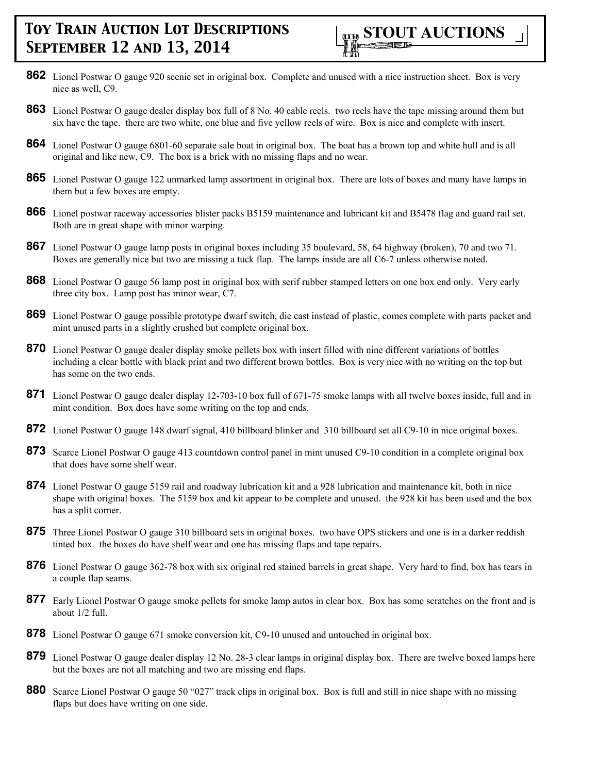- **862** Lionel Postwar O gauge 920 scenic set in original box. Complete and unused with a nice instruction sheet. Box is very nice as well, C9.
- **863** Lionel Postwar O gauge dealer display box full of 8 No. 40 cable reels. two reels have the tape missing around them but six have the tape. there are two white, one blue and five yellow reels of wire. Box is nice and complete with insert.
- **864** Lionel Postwar O gauge 6801-60 separate sale boat in original box. The boat has a brown top and white hull and is all original and like new, C9. The box is a brick with no missing flaps and no wear.
- **865** Lionel Postwar O gauge 122 unmarked lamp assortment in original box. There are lots of boxes and many have lamps in them but a few boxes are empty.
- **866** Lionel postwar raceway accessories blister packs B5159 maintenance and lubricant kit and B5478 flag and guard rail set. Both are in great shape with minor warping.
- **867** Lionel Postwar O gauge lamp posts in original boxes including 35 boulevard, 58, 64 highway (broken), 70 and two 71. Boxes are generally nice but two are missing a tuck flap. The lamps inside are all C6-7 unless otherwise noted.
- **868** Lionel Postwar O gauge 56 lamp post in original box with serif rubber stamped letters on one box end only. Very early three city box. Lamp post has minor wear, C7.
- **869** Lionel Postwar O gauge possible prototype dwarf switch, die cast instead of plastic, comes complete with parts packet and mint unused parts in a slightly crushed but complete original box.
- **870** Lionel Postwar O gauge dealer display smoke pellets box with insert filled with nine different variations of bottles including a clear bottle with black print and two different brown bottles. Box is very nice with no writing on the top but has some on the two ends.
- **871** Lionel Postwar O gauge dealer display 12-703-10 box full of 671-75 smoke lamps with all twelve boxes inside, full and in mint condition. Box does have some writing on the top and ends.
- **872** Lionel Postwar O gauge 148 dwarf signal, 410 billboard blinker and 310 billboard set all C9-10 in nice original boxes.
- **873** Scarce Lionel Postwar O gauge 413 countdown control panel in mint unused C9-10 condition in a complete original box that does have some shelf wear.
- **874** Lionel Postwar O gauge 5159 rail and roadway lubrication kit and a 928 lubrication and maintenance kit, both in nice shape with original boxes. The 5159 box and kit appear to be complete and unused. the 928 kit has been used and the box has a split corner.
- **875** Three Lionel Postwar O gauge 310 billboard sets in original boxes. two have OPS stickers and one is in a darker reddish tinted box. the boxes do have shelf wear and one has missing flaps and tape repairs.
- **876** Lionel Postwar O gauge 362-78 box with six original red stained barrels in great shape. Very hard to find, box has tears in a couple flap seams.
- **877** Early Lionel Postwar O gauge smoke pellets for smoke lamp autos in clear box. Box has some scratches on the front and is about 1/2 full.
- **878** Lionel Postwar O gauge 671 smoke conversion kit, C9-10 unused and untouched in original box.
- **879** Lionel Postwar O gauge dealer display 12 No. 28-3 clear lamps in original display box. There are twelve boxed lamps here but the boxes are not all matching and two are missing end flaps.
- **880** Scarce Lionel Postwar O gauge 50 "027" track clips in original box. Box is full and still in nice shape with no missing flaps but does have writing on one side.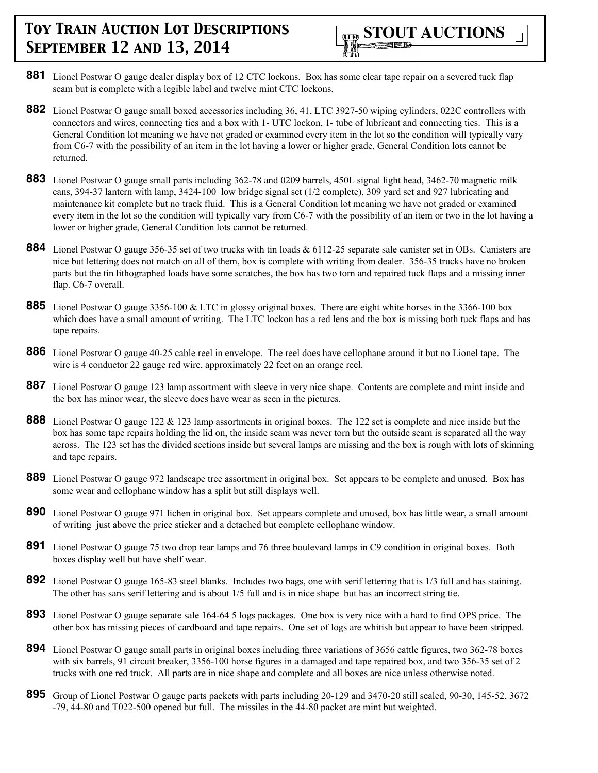- **881** Lionel Postwar O gauge dealer display box of 12 CTC lockons. Box has some clear tape repair on a severed tuck flap seam but is complete with a legible label and twelve mint CTC lockons.
- **882** Lionel Postwar O gauge small boxed accessories including 36, 41, LTC 3927-50 wiping cylinders, 022C controllers with connectors and wires, connecting ties and a box with 1- UTC lockon, 1- tube of lubricant and connecting ties. This is a General Condition lot meaning we have not graded or examined every item in the lot so the condition will typically vary from C6-7 with the possibility of an item in the lot having a lower or higher grade, General Condition lots cannot be returned.
- **883** Lionel Postwar O gauge small parts including 362-78 and 0209 barrels, 450L signal light head, 3462-70 magnetic milk cans, 394-37 lantern with lamp, 3424-100 low bridge signal set (1/2 complete), 309 yard set and 927 lubricating and maintenance kit complete but no track fluid. This is a General Condition lot meaning we have not graded or examined every item in the lot so the condition will typically vary from C6-7 with the possibility of an item or two in the lot having a lower or higher grade, General Condition lots cannot be returned.
- **884** Lionel Postwar O gauge 356-35 set of two trucks with tin loads & 6112-25 separate sale canister set in OBs. Canisters are nice but lettering does not match on all of them, box is complete with writing from dealer. 356-35 trucks have no broken parts but the tin lithographed loads have some scratches, the box has two torn and repaired tuck flaps and a missing inner flap. C6-7 overall.
- **885** Lionel Postwar O gauge 3356-100 & LTC in glossy original boxes. There are eight white horses in the 3366-100 box which does have a small amount of writing. The LTC lockon has a red lens and the box is missing both tuck flaps and has tape repairs.
- **886** Lionel Postwar O gauge 40-25 cable reel in envelope. The reel does have cellophane around it but no Lionel tape. The wire is 4 conductor 22 gauge red wire, approximately 22 feet on an orange reel.
- **887** Lionel Postwar O gauge 123 lamp assortment with sleeve in very nice shape. Contents are complete and mint inside and the box has minor wear, the sleeve does have wear as seen in the pictures.
- **888** Lionel Postwar O gauge 122 & 123 lamp assortments in original boxes. The 122 set is complete and nice inside but the box has some tape repairs holding the lid on, the inside seam was never torn but the outside seam is separated all the way across. The 123 set has the divided sections inside but several lamps are missing and the box is rough with lots of skinning and tape repairs.
- **889** Lionel Postwar O gauge 972 landscape tree assortment in original box. Set appears to be complete and unused. Box has some wear and cellophane window has a split but still displays well.
- **890** Lionel Postwar O gauge 971 lichen in original box. Set appears complete and unused, box has little wear, a small amount of writing just above the price sticker and a detached but complete cellophane window.
- **891** Lionel Postwar O gauge 75 two drop tear lamps and 76 three boulevard lamps in C9 condition in original boxes. Both boxes display well but have shelf wear.
- **892** Lionel Postwar O gauge 165-83 steel blanks. Includes two bags, one with serif lettering that is 1/3 full and has staining. The other has sans serif lettering and is about 1/5 full and is in nice shape but has an incorrect string tie.
- **893** Lionel Postwar O gauge separate sale 164-64 5 logs packages. One box is very nice with a hard to find OPS price. The other box has missing pieces of cardboard and tape repairs. One set of logs are whitish but appear to have been stripped.
- **894** Lionel Postwar O gauge small parts in original boxes including three variations of 3656 cattle figures, two 362-78 boxes with six barrels, 91 circuit breaker, 3356-100 horse figures in a damaged and tape repaired box, and two 356-35 set of 2 trucks with one red truck. All parts are in nice shape and complete and all boxes are nice unless otherwise noted.
- **895** Group of Lionel Postwar O gauge parts packets with parts including 20-129 and 3470-20 still sealed, 90-30, 145-52, 3672 -79, 44-80 and T022-500 opened but full. The missiles in the 44-80 packet are mint but weighted.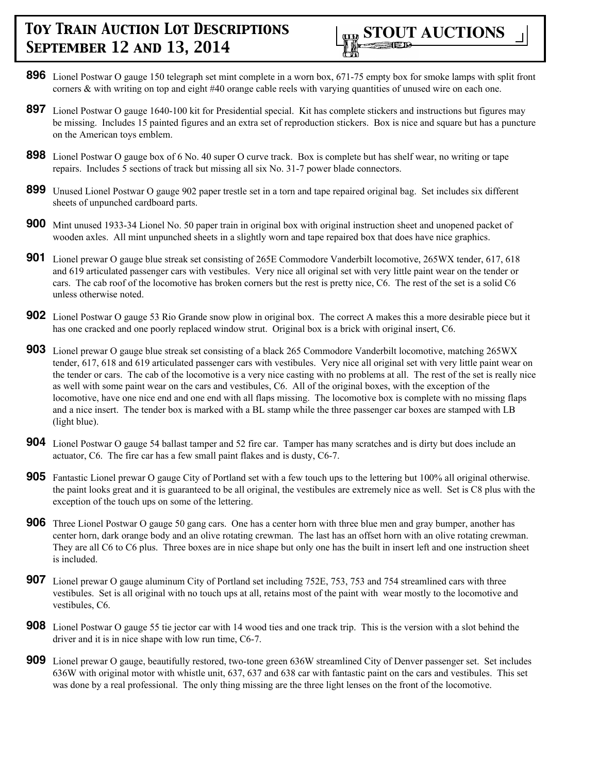

- **896** Lionel Postwar O gauge 150 telegraph set mint complete in a worn box, 671-75 empty box for smoke lamps with split front corners & with writing on top and eight #40 orange cable reels with varying quantities of unused wire on each one.
- **897** Lionel Postwar O gauge 1640-100 kit for Presidential special. Kit has complete stickers and instructions but figures may be missing. Includes 15 painted figures and an extra set of reproduction stickers. Box is nice and square but has a puncture on the American toys emblem.
- **898** Lionel Postwar O gauge box of 6 No. 40 super O curve track. Box is complete but has shelf wear, no writing or tape repairs. Includes 5 sections of track but missing all six No. 31-7 power blade connectors.
- **899** Unused Lionel Postwar O gauge 902 paper trestle set in a torn and tape repaired original bag. Set includes six different sheets of unpunched cardboard parts.
- **900** Mint unused 1933-34 Lionel No. 50 paper train in original box with original instruction sheet and unopened packet of wooden axles. All mint unpunched sheets in a slightly worn and tape repaired box that does have nice graphics.
- **901** Lionel prewar O gauge blue streak set consisting of 265E Commodore Vanderbilt locomotive, 265WX tender, 617, 618 and 619 articulated passenger cars with vestibules. Very nice all original set with very little paint wear on the tender or cars. The cab roof of the locomotive has broken corners but the rest is pretty nice, C6. The rest of the set is a solid C6 unless otherwise noted.
- **902** Lionel Postwar O gauge 53 Rio Grande snow plow in original box. The correct A makes this a more desirable piece but it has one cracked and one poorly replaced window strut. Original box is a brick with original insert, C6.
- **903** Lionel prewar O gauge blue streak set consisting of a black 265 Commodore Vanderbilt locomotive, matching 265WX tender, 617, 618 and 619 articulated passenger cars with vestibules. Very nice all original set with very little paint wear on the tender or cars. The cab of the locomotive is a very nice casting with no problems at all. The rest of the set is really nice as well with some paint wear on the cars and vestibules, C6. All of the original boxes, with the exception of the locomotive, have one nice end and one end with all flaps missing. The locomotive box is complete with no missing flaps and a nice insert. The tender box is marked with a BL stamp while the three passenger car boxes are stamped with LB (light blue).
- **904** Lionel Postwar O gauge 54 ballast tamper and 52 fire car. Tamper has many scratches and is dirty but does include an actuator, C6. The fire car has a few small paint flakes and is dusty, C6-7.
- **905** Fantastic Lionel prewar O gauge City of Portland set with a few touch ups to the lettering but 100% all original otherwise. the paint looks great and it is guaranteed to be all original, the vestibules are extremely nice as well. Set is C8 plus with the exception of the touch ups on some of the lettering.
- **906** Three Lionel Postwar O gauge 50 gang cars. One has a center horn with three blue men and gray bumper, another has center horn, dark orange body and an olive rotating crewman. The last has an offset horn with an olive rotating crewman. They are all C6 to C6 plus. Three boxes are in nice shape but only one has the built in insert left and one instruction sheet is included.
- **907** Lionel prewar O gauge aluminum City of Portland set including 752E, 753, 753 and 754 streamlined cars with three vestibules. Set is all original with no touch ups at all, retains most of the paint with wear mostly to the locomotive and vestibules, C6.
- **908** Lionel Postwar O gauge 55 tie jector car with 14 wood ties and one track trip. This is the version with a slot behind the driver and it is in nice shape with low run time, C6-7.
- **909** Lionel prewar O gauge, beautifully restored, two-tone green 636W streamlined City of Denver passenger set. Set includes 636W with original motor with whistle unit, 637, 637 and 638 car with fantastic paint on the cars and vestibules. This set was done by a real professional. The only thing missing are the three light lenses on the front of the locomotive.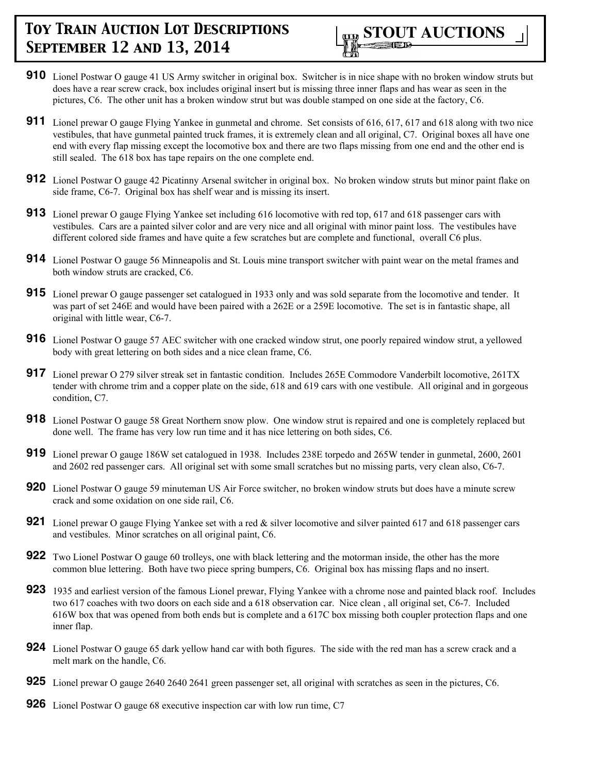- **910** Lionel Postwar O gauge 41 US Army switcher in original box. Switcher is in nice shape with no broken window struts but does have a rear screw crack, box includes original insert but is missing three inner flaps and has wear as seen in the pictures, C6. The other unit has a broken window strut but was double stamped on one side at the factory, C6.
- **911** Lionel prewar O gauge Flying Yankee in gunmetal and chrome. Set consists of 616, 617, 617 and 618 along with two nice vestibules, that have gunmetal painted truck frames, it is extremely clean and all original, C7. Original boxes all have one end with every flap missing except the locomotive box and there are two flaps missing from one end and the other end is still sealed. The 618 box has tape repairs on the one complete end.
- **912** Lionel Postwar O gauge 42 Picatinny Arsenal switcher in original box. No broken window struts but minor paint flake on side frame, C6-7. Original box has shelf wear and is missing its insert.
- **913** Lionel prewar O gauge Flying Yankee set including 616 locomotive with red top, 617 and 618 passenger cars with vestibules. Cars are a painted silver color and are very nice and all original with minor paint loss. The vestibules have different colored side frames and have quite a few scratches but are complete and functional, overall C6 plus.
- **914** Lionel Postwar O gauge 56 Minneapolis and St. Louis mine transport switcher with paint wear on the metal frames and both window struts are cracked, C6.
- **915** Lionel prewar O gauge passenger set catalogued in 1933 only and was sold separate from the locomotive and tender. It was part of set 246E and would have been paired with a 262E or a 259E locomotive. The set is in fantastic shape, all original with little wear, C6-7.
- **916** Lionel Postwar O gauge 57 AEC switcher with one cracked window strut, one poorly repaired window strut, a yellowed body with great lettering on both sides and a nice clean frame, C6.
- **917** Lionel prewar O 279 silver streak set in fantastic condition. Includes 265E Commodore Vanderbilt locomotive, 261TX tender with chrome trim and a copper plate on the side, 618 and 619 cars with one vestibule. All original and in gorgeous condition, C7.
- **918** Lionel Postwar O gauge 58 Great Northern snow plow. One window strut is repaired and one is completely replaced but done well. The frame has very low run time and it has nice lettering on both sides, C6.
- **919** Lionel prewar O gauge 186W set catalogued in 1938. Includes 238E torpedo and 265W tender in gunmetal, 2600, 2601 and 2602 red passenger cars. All original set with some small scratches but no missing parts, very clean also, C6-7.
- **920** Lionel Postwar O gauge 59 minuteman US Air Force switcher, no broken window struts but does have a minute screw crack and some oxidation on one side rail, C6.
- **921** Lionel prewar O gauge Flying Yankee set with a red & silver locomotive and silver painted 617 and 618 passenger cars and vestibules. Minor scratches on all original paint, C6.
- **922** Two Lionel Postwar O gauge 60 trolleys, one with black lettering and the motorman inside, the other has the more common blue lettering. Both have two piece spring bumpers, C6. Original box has missing flaps and no insert.
- **923** 1935 and earliest version of the famous Lionel prewar, Flying Yankee with a chrome nose and painted black roof. Includes two 617 coaches with two doors on each side and a 618 observation car. Nice clean , all original set, C6-7. Included 616W box that was opened from both ends but is complete and a 617C box missing both coupler protection flaps and one inner flap.
- **924** Lionel Postwar O gauge 65 dark yellow hand car with both figures. The side with the red man has a screw crack and a melt mark on the handle, C6.
- **925** Lionel prewar O gauge 2640 2640 2641 green passenger set, all original with scratches as seen in the pictures, C6.
- **926** Lionel Postwar O gauge 68 executive inspection car with low run time, C7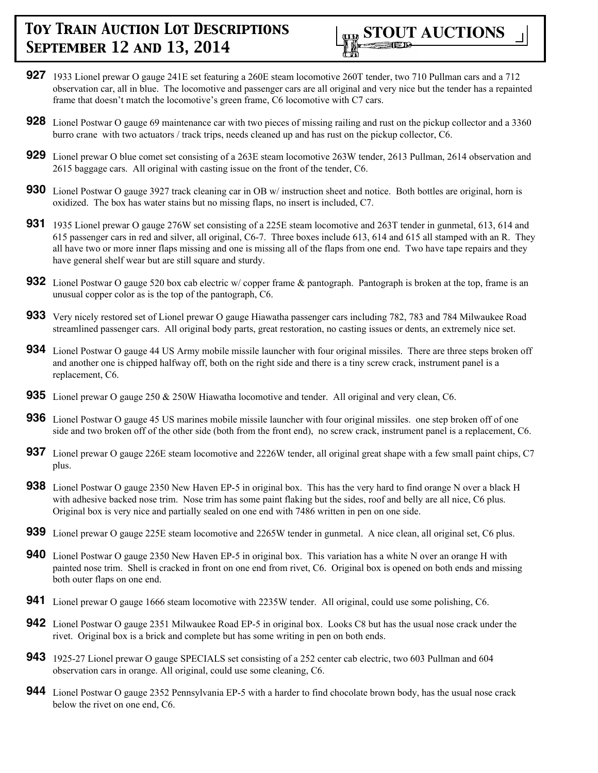- **927** 1933 Lionel prewar O gauge 241E set featuring a 260E steam locomotive 260T tender, two 710 Pullman cars and a 712 observation car, all in blue. The locomotive and passenger cars are all original and very nice but the tender has a repainted frame that doesn't match the locomotive's green frame, C6 locomotive with C7 cars.
- **928** Lionel Postwar O gauge 69 maintenance car with two pieces of missing railing and rust on the pickup collector and a 3360 burro crane with two actuators / track trips, needs cleaned up and has rust on the pickup collector, C6.
- **929** Lionel prewar O blue comet set consisting of a 263E steam locomotive 263W tender, 2613 Pullman, 2614 observation and 2615 baggage cars. All original with casting issue on the front of the tender, C6.
- **930** Lionel Postwar O gauge 3927 track cleaning car in OB w/ instruction sheet and notice. Both bottles are original, horn is oxidized. The box has water stains but no missing flaps, no insert is included, C7.
- **931** 1935 Lionel prewar O gauge 276W set consisting of a 225E steam locomotive and 263T tender in gunmetal, 613, 614 and 615 passenger cars in red and silver, all original, C6-7. Three boxes include 613, 614 and 615 all stamped with an R. They all have two or more inner flaps missing and one is missing all of the flaps from one end. Two have tape repairs and they have general shelf wear but are still square and sturdy.
- **932** Lionel Postwar O gauge 520 box cab electric w/copper frame & pantograph. Pantograph is broken at the top, frame is an unusual copper color as is the top of the pantograph, C6.
- **933** Very nicely restored set of Lionel prewar O gauge Hiawatha passenger cars including 782, 783 and 784 Milwaukee Road streamlined passenger cars. All original body parts, great restoration, no casting issues or dents, an extremely nice set.
- **934** Lionel Postwar O gauge 44 US Army mobile missile launcher with four original missiles. There are three steps broken off and another one is chipped halfway off, both on the right side and there is a tiny screw crack, instrument panel is a replacement, C6.
- **935** Lionel prewar O gauge 250 & 250W Hiawatha locomotive and tender. All original and very clean, C6.
- **936** Lionel Postwar O gauge 45 US marines mobile missile launcher with four original missiles. one step broken off of one side and two broken off of the other side (both from the front end), no screw crack, instrument panel is a replacement, C6.
- **937** Lionel prewar O gauge 226E steam locomotive and 2226W tender, all original great shape with a few small paint chips, C7 plus.
- **938** Lionel Postwar O gauge 2350 New Haven EP-5 in original box. This has the very hard to find orange N over a black H with adhesive backed nose trim. Nose trim has some paint flaking but the sides, roof and belly are all nice, C6 plus. Original box is very nice and partially sealed on one end with 7486 written in pen on one side.
- **939** Lionel prewar O gauge 225E steam locomotive and 2265W tender in gunmetal. A nice clean, all original set, C6 plus.
- **940** Lionel Postwar O gauge 2350 New Haven EP-5 in original box. This variation has a white N over an orange H with painted nose trim. Shell is cracked in front on one end from rivet, C6. Original box is opened on both ends and missing both outer flaps on one end.
- **941** Lionel prewar O gauge 1666 steam locomotive with 2235W tender. All original, could use some polishing, C6.
- **942** Lionel Postwar O gauge 2351 Milwaukee Road EP-5 in original box. Looks C8 but has the usual nose crack under the rivet. Original box is a brick and complete but has some writing in pen on both ends.
- **943** 1925-27 Lionel prewar O gauge SPECIALS set consisting of a 252 center cab electric, two 603 Pullman and 604 observation cars in orange. All original, could use some cleaning, C6.
- **944** Lionel Postwar O gauge 2352 Pennsylvania EP-5 with a harder to find chocolate brown body, has the usual nose crack below the rivet on one end, C6.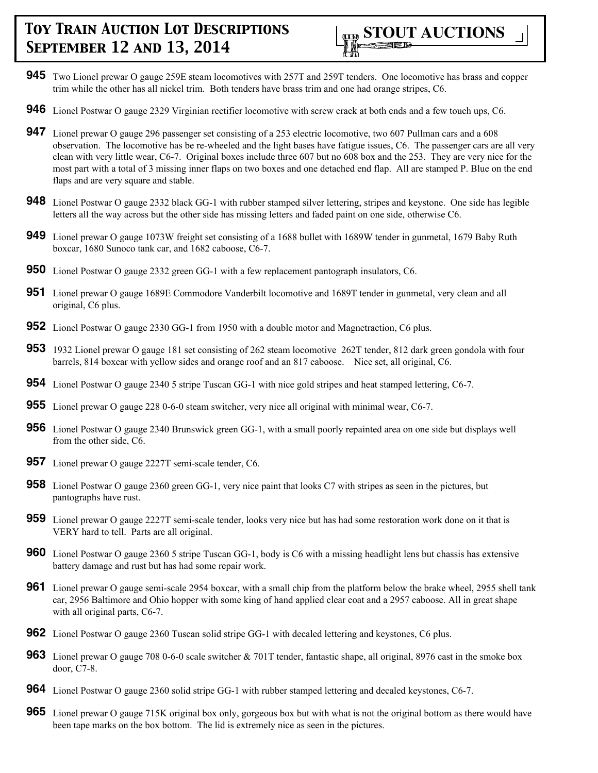

- **945** Two Lionel prewar O gauge 259E steam locomotives with 257T and 259T tenders. One locomotive has brass and copper trim while the other has all nickel trim. Both tenders have brass trim and one had orange stripes, C6.
- **946** Lionel Postwar O gauge 2329 Virginian rectifier locomotive with screw crack at both ends and a few touch ups, C6.
- **947** Lionel prewar O gauge 296 passenger set consisting of a 253 electric locomotive, two 607 Pullman cars and a 608 observation. The locomotive has be re-wheeled and the light bases have fatigue issues, C6. The passenger cars are all very clean with very little wear, C6-7. Original boxes include three 607 but no 608 box and the 253. They are very nice for the most part with a total of 3 missing inner flaps on two boxes and one detached end flap. All are stamped P. Blue on the end flaps and are very square and stable.
- **948** Lionel Postwar O gauge 2332 black GG-1 with rubber stamped silver lettering, stripes and keystone. One side has legible letters all the way across but the other side has missing letters and faded paint on one side, otherwise C6.
- **949** Lionel prewar O gauge 1073W freight set consisting of a 1688 bullet with 1689W tender in gunmetal, 1679 Baby Ruth boxcar, 1680 Sunoco tank car, and 1682 caboose, C6-7.
- **950** Lionel Postwar O gauge 2332 green GG-1 with a few replacement pantograph insulators, C6.
- **951** Lionel prewar O gauge 1689E Commodore Vanderbilt locomotive and 1689T tender in gunmetal, very clean and all original, C6 plus.
- **952** Lionel Postwar O gauge 2330 GG-1 from 1950 with a double motor and Magnetraction, C6 plus.
- **953** 1932 Lionel prewar O gauge 181 set consisting of 262 steam locomotive 262T tender, 812 dark green gondola with four barrels, 814 boxcar with yellow sides and orange roof and an 817 caboose. Nice set, all original, C6.
- **954** Lionel Postwar O gauge 2340 5 stripe Tuscan GG-1 with nice gold stripes and heat stamped lettering, C6-7.
- **955** Lionel prewar O gauge 228 0-6-0 steam switcher, very nice all original with minimal wear, C6-7.
- **956** Lionel Postwar O gauge 2340 Brunswick green GG-1, with a small poorly repainted area on one side but displays well from the other side, C6.
- **957** Lionel prewar O gauge 2227T semi-scale tender, C6.
- **958** Lionel Postwar O gauge 2360 green GG-1, very nice paint that looks C7 with stripes as seen in the pictures, but pantographs have rust.
- **959** Lionel prewar O gauge 2227T semi-scale tender, looks very nice but has had some restoration work done on it that is VERY hard to tell. Parts are all original.
- **960** Lionel Postwar O gauge 2360 5 stripe Tuscan GG-1, body is C6 with a missing headlight lens but chassis has extensive battery damage and rust but has had some repair work.
- **961** Lionel prewar O gauge semi-scale 2954 boxcar, with a small chip from the platform below the brake wheel, 2955 shell tank car, 2956 Baltimore and Ohio hopper with some king of hand applied clear coat and a 2957 caboose. All in great shape with all original parts, C6-7.
- **962** Lionel Postwar O gauge 2360 Tuscan solid stripe GG-1 with decaled lettering and keystones, C6 plus.
- **963** Lionel prewar O gauge 708 0-6-0 scale switcher & 701T tender, fantastic shape, all original, 8976 cast in the smoke box door, C7-8.
- **964** Lionel Postwar O gauge 2360 solid stripe GG-1 with rubber stamped lettering and decaled keystones, C6-7.
- **965** Lionel prewar O gauge 715K original box only, gorgeous box but with what is not the original bottom as there would have been tape marks on the box bottom. The lid is extremely nice as seen in the pictures.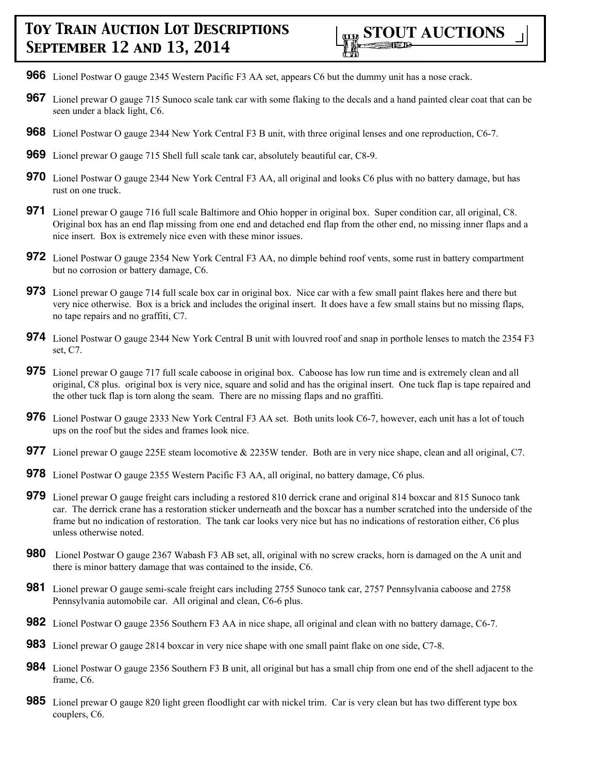- **966** Lionel Postwar O gauge 2345 Western Pacific F3 AA set, appears C6 but the dummy unit has a nose crack.
- **967** Lionel prewar O gauge 715 Sunoco scale tank car with some flaking to the decals and a hand painted clear coat that can be seen under a black light, C6.
- **968** Lionel Postwar O gauge 2344 New York Central F3 B unit, with three original lenses and one reproduction, C6-7.
- **969** Lionel prewar O gauge 715 Shell full scale tank car, absolutely beautiful car, C8-9.
- **970** Lionel Postwar O gauge 2344 New York Central F3 AA, all original and looks C6 plus with no battery damage, but has rust on one truck.
- **971** Lionel prewar O gauge 716 full scale Baltimore and Ohio hopper in original box. Super condition car, all original, C8. Original box has an end flap missing from one end and detached end flap from the other end, no missing inner flaps and a nice insert. Box is extremely nice even with these minor issues.
- **972** Lionel Postwar O gauge 2354 New York Central F3 AA, no dimple behind roof vents, some rust in battery compartment but no corrosion or battery damage, C6.
- **973** Lionel prewar O gauge 714 full scale box car in original box. Nice car with a few small paint flakes here and there but very nice otherwise. Box is a brick and includes the original insert. It does have a few small stains but no missing flaps, no tape repairs and no graffiti, C7.
- **974** Lionel Postwar O gauge 2344 New York Central B unit with louvred roof and snap in porthole lenses to match the 2354 F3 set, C7.
- **975** Lionel prewar O gauge 717 full scale caboose in original box. Caboose has low run time and is extremely clean and all original, C8 plus. original box is very nice, square and solid and has the original insert. One tuck flap is tape repaired and the other tuck flap is torn along the seam. There are no missing flaps and no graffiti.
- **976** Lionel Postwar O gauge 2333 New York Central F3 AA set. Both units look C6-7, however, each unit has a lot of touch ups on the roof but the sides and frames look nice.
- **977** Lionel prewar O gauge 225E steam locomotive & 2235W tender. Both are in very nice shape, clean and all original, C7.
- **978** Lionel Postwar O gauge 2355 Western Pacific F3 AA, all original, no battery damage, C6 plus.
- **979** Lionel prewar O gauge freight cars including a restored 810 derrick crane and original 814 boxcar and 815 Sunoco tank car. The derrick crane has a restoration sticker underneath and the boxcar has a number scratched into the underside of the frame but no indication of restoration. The tank car looks very nice but has no indications of restoration either, C6 plus unless otherwise noted.
- **980** Lionel Postwar O gauge 2367 Wabash F3 AB set, all, original with no screw cracks, horn is damaged on the A unit and there is minor battery damage that was contained to the inside, C6.
- **981** Lionel prewar O gauge semi-scale freight cars including 2755 Sunoco tank car, 2757 Pennsylvania caboose and 2758 Pennsylvania automobile car. All original and clean, C6-6 plus.
- **982** Lionel Postwar O gauge 2356 Southern F3 AA in nice shape, all original and clean with no battery damage, C6-7.
- **983** Lionel prewar O gauge 2814 boxcar in very nice shape with one small paint flake on one side, C7-8.
- **984** Lionel Postwar O gauge 2356 Southern F3 B unit, all original but has a small chip from one end of the shell adjacent to the frame, C6.
- **985** Lionel prewar O gauge 820 light green floodlight car with nickel trim. Car is very clean but has two different type box couplers, C6.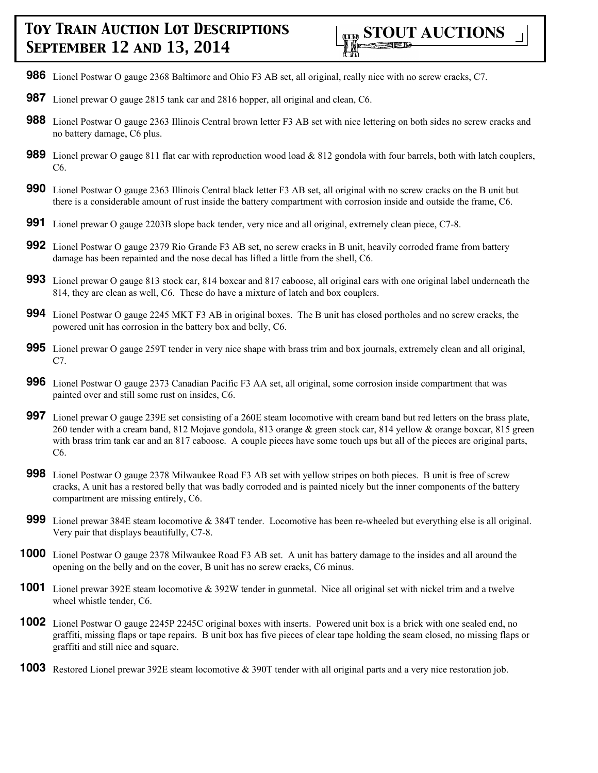- **986** Lionel Postwar O gauge 2368 Baltimore and Ohio F3 AB set, all original, really nice with no screw cracks, C7.
- **987** Lionel prewar O gauge 2815 tank car and 2816 hopper, all original and clean, C6.
- **988** Lionel Postwar O gauge 2363 Illinois Central brown letter F3 AB set with nice lettering on both sides no screw cracks and no battery damage, C6 plus.
- **989** Lionel prewar O gauge 811 flat car with reproduction wood load & 812 gondola with four barrels, both with latch couplers, C6.
- **990** Lionel Postwar O gauge 2363 Illinois Central black letter F3 AB set, all original with no screw cracks on the B unit but there is a considerable amount of rust inside the battery compartment with corrosion inside and outside the frame, C6.
- **991** Lionel prewar O gauge 2203B slope back tender, very nice and all original, extremely clean piece, C7-8.
- **992** Lionel Postwar O gauge 2379 Rio Grande F3 AB set, no screw cracks in B unit, heavily corroded frame from battery damage has been repainted and the nose decal has lifted a little from the shell, C6.
- **993** Lionel prewar O gauge 813 stock car, 814 boxcar and 817 caboose, all original cars with one original label underneath the 814, they are clean as well, C6. These do have a mixture of latch and box couplers.
- **994** Lionel Postwar O gauge 2245 MKT F3 AB in original boxes. The B unit has closed portholes and no screw cracks, the powered unit has corrosion in the battery box and belly, C6.
- **995** Lionel prewar O gauge 259T tender in very nice shape with brass trim and box journals, extremely clean and all original, C7.
- **996** Lionel Postwar O gauge 2373 Canadian Pacific F3 AA set, all original, some corrosion inside compartment that was painted over and still some rust on insides, C6.
- **997** Lionel prewar O gauge 239E set consisting of a 260E steam locomotive with cream band but red letters on the brass plate, 260 tender with a cream band, 812 Mojave gondola, 813 orange & green stock car, 814 yellow & orange boxcar, 815 green with brass trim tank car and an 817 caboose. A couple pieces have some touch ups but all of the pieces are original parts, C6.
- **998** Lionel Postwar O gauge 2378 Milwaukee Road F3 AB set with yellow stripes on both pieces. B unit is free of screw cracks, A unit has a restored belly that was badly corroded and is painted nicely but the inner components of the battery compartment are missing entirely, C6.
- **999** Lionel prewar 384E steam locomotive & 384T tender. Locomotive has been re-wheeled but everything else is all original. Very pair that displays beautifully, C7-8.
- **1000** Lionel Postwar O gauge 2378 Milwaukee Road F3 AB set. A unit has battery damage to the insides and all around the opening on the belly and on the cover, B unit has no screw cracks, C6 minus.
- **1001** Lionel prewar 392E steam locomotive & 392W tender in gunmetal. Nice all original set with nickel trim and a twelve wheel whistle tender, C6.
- **1002** Lionel Postwar O gauge 2245P 2245C original boxes with inserts. Powered unit box is a brick with one sealed end, no graffiti, missing flaps or tape repairs. B unit box has five pieces of clear tape holding the seam closed, no missing flaps or graffiti and still nice and square.
- **1003** Restored Lionel prewar 392E steam locomotive & 390T tender with all original parts and a very nice restoration job.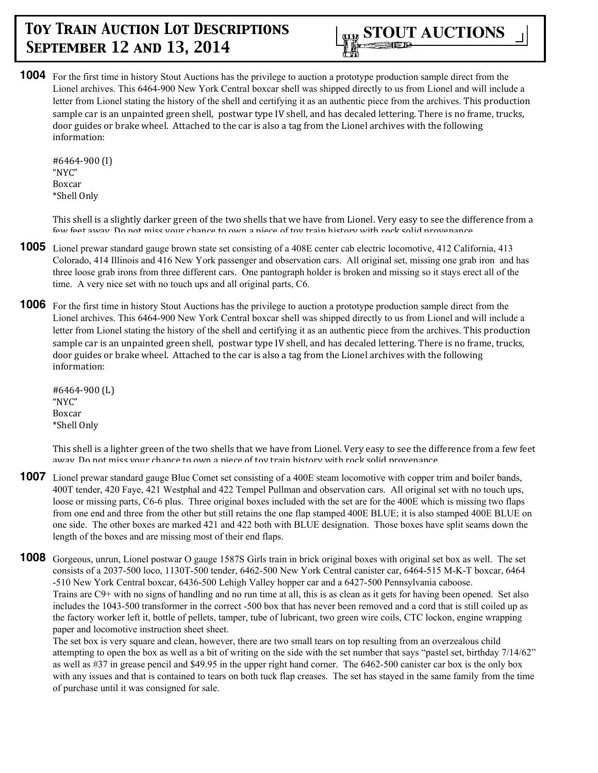

**1004** For the first time in history Stout Auctions has the privilege to auction a prototype production sample direct from the Lionel archives. This 6464-900 New York Central boxcar shell was shipped directly to us from Lionel and will include a letter from Lionel stating the history of the shell and certifying it as an authentic piece from the archives. This production sample car is an unpainted green shell, postwar type IV shell, and has decaled lettering. There is no frame, trucks, door guides or brake wheel. Attached to the car is also a tag from the Lionel archives with the following information:

#6464-900 (I) "NYC" Boxcar \*Shell Only

This shell is a slightly darker green of the two shells that we have from Lionel. Very easy to see the difference from a few feet away. Do not miss your chance to own a niece of toy train history with rock solid provenance.

- **1005** Lionel prewar standard gauge brown state set consisting of a 408E center cab electric locomotive, 412 California, 413 Colorado, 414 Illinois and 416 New York passenger and observation cars. All original set, missing one grab iron and has three loose grab irons from three different cars. One pantograph holder is broken and missing so it stays erect all of the time. A very nice set with no touch ups and all original parts, C6.
- **1006** For the first time in history Stout Auctions has the privilege to auction a prototype production sample direct from the Lionel archives. This 6464-900 New York Central boxcar shell was shipped directly to us from Lionel and will include a letter from Lionel stating the history of the shell and certifying it as an authentic piece from the archives. This production sample car is an unpainted green shell, postwar type IV shell, and has decaled lettering. There is no frame, trucks, door guides or brake wheel. Attached to the car is also a tag from the Lionel archives with the following information:

#6464-900 (L) "NYC" Boxcar \*Shell Only

This shell is a lighter green of the two shells that we have from Lionel. Very easy to see the difference from a few feet away. Do not miss your chance to own a piece of toy train history with rock solid provenance

- **1007** Lionel prewar standard gauge Blue Comet set consisting of a 400E steam locomotive with copper trim and boiler bands, 400T tender, 420 Faye, 421 Westphal and 422 Tempel Pullman and observation cars. All original set with no touch ups, loose or missing parts, C6-6 plus. Three original boxes included with the set are for the 400E which is missing two flaps from one end and three from the other but still retains the one flap stamped 400E BLUE; it is also stamped 400E BLUE on one side. The other boxes are marked 421 and 422 both with BLUE designation. Those boxes have split seams down the length of the boxes and are missing most of their end flaps.
- **1008** Gorgeous, unrun, Lionel postwar O gauge 1587S Girls train in brick original boxes with original set box as well. The set consists of a 2037-500 loco, 1130T-500 tender, 6462-500 New York Central canister car, 6464-515 M-K-T boxcar, 6464 -510 New York Central boxcar, 6436-500 Lehigh Valley hopper car and a 6427-500 Pennsylvania caboose. Trains are C9+ with no signs of handling and no run time at all, this is as clean as it gets for having been opened. Set also includes the 1043-500 transformer in the correct -500 box that has never been removed and a cord that is still coiled up as the factory worker left it, bottle of pellets, tamper, tube of lubricant, two green wire coils, CTC lockon, engine wrapping paper and locomotive instruction sheet sheet.

The set box is very square and clean, however, there are two small tears on top resulting from an overzealous child attempting to open the box as well as a bit of writing on the side with the set number that says "pastel set, birthday 7/14/62" as well as #37 in grease pencil and \$49.95 in the upper right hand corner. The 6462-500 canister car box is the only box with any issues and that is contained to tears on both tuck flap creases. The set has stayed in the same family from the time of purchase until it was consigned for sale.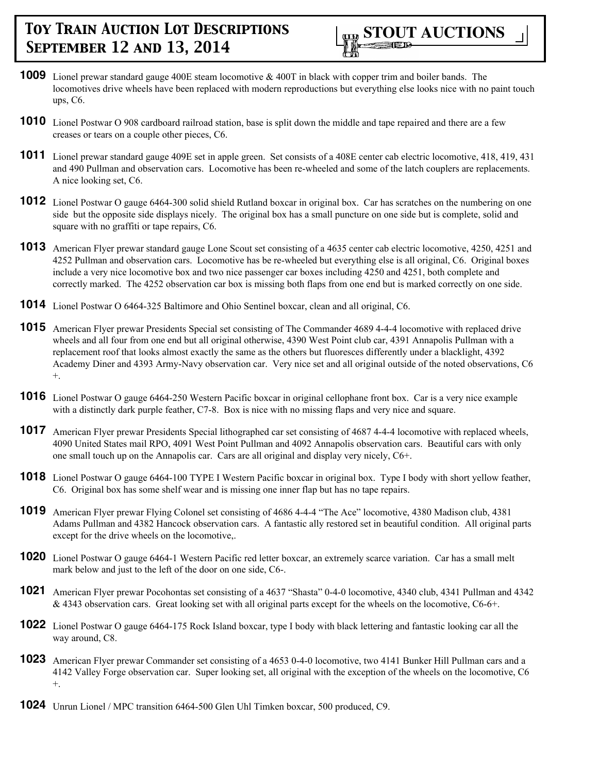

- **1009** Lionel prewar standard gauge 400E steam locomotive & 400T in black with copper trim and boiler bands. The locomotives drive wheels have been replaced with modern reproductions but everything else looks nice with no paint touch ups, C6.
- **1010** Lionel Postwar O 908 cardboard railroad station, base is split down the middle and tape repaired and there are a few creases or tears on a couple other pieces, C6.
- **1011** Lionel prewar standard gauge 409E set in apple green. Set consists of a 408E center cab electric locomotive, 418, 419, 431 and 490 Pullman and observation cars. Locomotive has been re-wheeled and some of the latch couplers are replacements. A nice looking set, C6.
- **1012** Lionel Postwar O gauge 6464-300 solid shield Rutland boxcar in original box. Car has scratches on the numbering on one side but the opposite side displays nicely. The original box has a small puncture on one side but is complete, solid and square with no graffiti or tape repairs, C6.
- **1013** American Flyer prewar standard gauge Lone Scout set consisting of a 4635 center cab electric locomotive, 4250, 4251 and 4252 Pullman and observation cars. Locomotive has be re-wheeled but everything else is all original, C6. Original boxes include a very nice locomotive box and two nice passenger car boxes including 4250 and 4251, both complete and correctly marked. The 4252 observation car box is missing both flaps from one end but is marked correctly on one side.
- **1014** Lionel Postwar O 6464-325 Baltimore and Ohio Sentinel boxcar, clean and all original, C6.
- **1015** American Flyer prewar Presidents Special set consisting of The Commander 4689 4-4-4 locomotive with replaced drive wheels and all four from one end but all original otherwise, 4390 West Point club car, 4391 Annapolis Pullman with a replacement roof that looks almost exactly the same as the others but fluoresces differently under a blacklight, 4392 Academy Diner and 4393 Army-Navy observation car. Very nice set and all original outside of the noted observations, C6 +.
- **1016** Lionel Postwar O gauge 6464-250 Western Pacific boxcar in original cellophane front box. Car is a very nice example with a distinctly dark purple feather, C7-8. Box is nice with no missing flaps and very nice and square.
- **1017** American Flyer prewar Presidents Special lithographed car set consisting of 4687 4-4-4 locomotive with replaced wheels, 4090 United States mail RPO, 4091 West Point Pullman and 4092 Annapolis observation cars. Beautiful cars with only one small touch up on the Annapolis car. Cars are all original and display very nicely, C6+.
- **1018** Lionel Postwar O gauge 6464-100 TYPE I Western Pacific boxcar in original box. Type I body with short yellow feather, C6. Original box has some shelf wear and is missing one inner flap but has no tape repairs.
- **1019** American Flyer prewar Flying Colonel set consisting of 4686 4-4-4 "The Ace" locomotive, 4380 Madison club, 4381 Adams Pullman and 4382 Hancock observation cars. A fantastic ally restored set in beautiful condition. All original parts except for the drive wheels on the locomotive,.
- **1020** Lionel Postwar O gauge 6464-1 Western Pacific red letter boxcar, an extremely scarce variation. Car has a small melt mark below and just to the left of the door on one side, C6-.
- **1021** American Flyer prewar Pocohontas set consisting of a 4637 "Shasta" 0-4-0 locomotive, 4340 club, 4341 Pullman and 4342  $& 4343$  observation cars. Great looking set with all original parts except for the wheels on the locomotive,  $C6-6+$ .
- **1022** Lionel Postwar O gauge 6464-175 Rock Island boxcar, type I body with black lettering and fantastic looking car all the way around, C8.
- **1023** American Flyer prewar Commander set consisting of a 4653 0-4-0 locomotive, two 4141 Bunker Hill Pullman cars and a 4142 Valley Forge observation car. Super looking set, all original with the exception of the wheels on the locomotive, C6 +.
- **1024** Unrun Lionel / MPC transition 6464-500 Glen Uhl Timken boxcar, 500 produced, C9.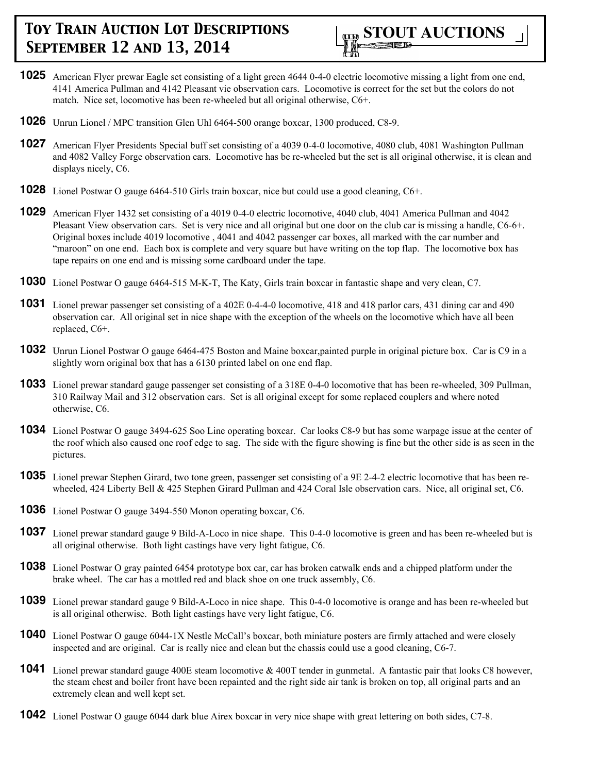- **1025** American Flyer prewar Eagle set consisting of a light green 4644 0-4-0 electric locomotive missing a light from one end, 4141 America Pullman and 4142 Pleasant vie observation cars. Locomotive is correct for the set but the colors do not match. Nice set, locomotive has been re-wheeled but all original otherwise, C6+.
- **1026** Unrun Lionel / MPC transition Glen Uhl 6464-500 orange boxcar, 1300 produced, C8-9.
- **1027** American Flyer Presidents Special buff set consisting of a 4039 0-4-0 locomotive, 4080 club, 4081 Washington Pullman and 4082 Valley Forge observation cars. Locomotive has be re-wheeled but the set is all original otherwise, it is clean and displays nicely, C6.
- **1028** Lionel Postwar O gauge 6464-510 Girls train boxcar, nice but could use a good cleaning, C6+.
- **1029** American Flyer 1432 set consisting of a 4019 0-4-0 electric locomotive, 4040 club, 4041 America Pullman and 4042 Pleasant View observation cars. Set is very nice and all original but one door on the club car is missing a handle, C6-6+. Original boxes include 4019 locomotive , 4041 and 4042 passenger car boxes, all marked with the car number and "maroon" on one end. Each box is complete and very square but have writing on the top flap. The locomotive box has tape repairs on one end and is missing some cardboard under the tape.
- **1030** Lionel Postwar O gauge 6464-515 M-K-T, The Katy, Girls train boxcar in fantastic shape and very clean, C7.
- **1031** Lionel prewar passenger set consisting of a 402E 0-4-4-0 locomotive, 418 and 418 parlor cars, 431 dining car and 490 observation car. All original set in nice shape with the exception of the wheels on the locomotive which have all been replaced, C6+.
- **1032** Unrun Lionel Postwar O gauge 6464-475 Boston and Maine boxcar,painted purple in original picture box. Car is C9 in a slightly worn original box that has a 6130 printed label on one end flap.
- **1033** Lionel prewar standard gauge passenger set consisting of a 318E 0-4-0 locomotive that has been re-wheeled, 309 Pullman, 310 Railway Mail and 312 observation cars. Set is all original except for some replaced couplers and where noted otherwise, C6.
- **1034** Lionel Postwar O gauge 3494-625 Soo Line operating boxcar. Car looks C8-9 but has some warpage issue at the center of the roof which also caused one roof edge to sag. The side with the figure showing is fine but the other side is as seen in the pictures.
- **1035** Lionel prewar Stephen Girard, two tone green, passenger set consisting of a 9E 2-4-2 electric locomotive that has been rewheeled, 424 Liberty Bell & 425 Stephen Girard Pullman and 424 Coral Isle observation cars. Nice, all original set, C6.
- **1036** Lionel Postwar O gauge 3494-550 Monon operating boxcar, C6.
- **1037** Lionel prewar standard gauge 9 Bild-A-Loco in nice shape. This 0-4-0 locomotive is green and has been re-wheeled but is all original otherwise. Both light castings have very light fatigue, C6.
- **1038** Lionel Postwar O gray painted 6454 prototype box car, car has broken catwalk ends and a chipped platform under the brake wheel. The car has a mottled red and black shoe on one truck assembly, C6.
- **1039** Lionel prewar standard gauge 9 Bild-A-Loco in nice shape. This 0-4-0 locomotive is orange and has been re-wheeled but is all original otherwise. Both light castings have very light fatigue, C6.
- **1040** Lionel Postwar O gauge 6044-1X Nestle McCall's boxcar, both miniature posters are firmly attached and were closely inspected and are original. Car is really nice and clean but the chassis could use a good cleaning, C6-7.
- **1041** Lionel prewar standard gauge 400E steam locomotive & 400T tender in gunmetal. A fantastic pair that looks C8 however, the steam chest and boiler front have been repainted and the right side air tank is broken on top, all original parts and an extremely clean and well kept set.
- **1042** Lionel Postwar O gauge 6044 dark blue Airex boxcar in very nice shape with great lettering on both sides, C7-8.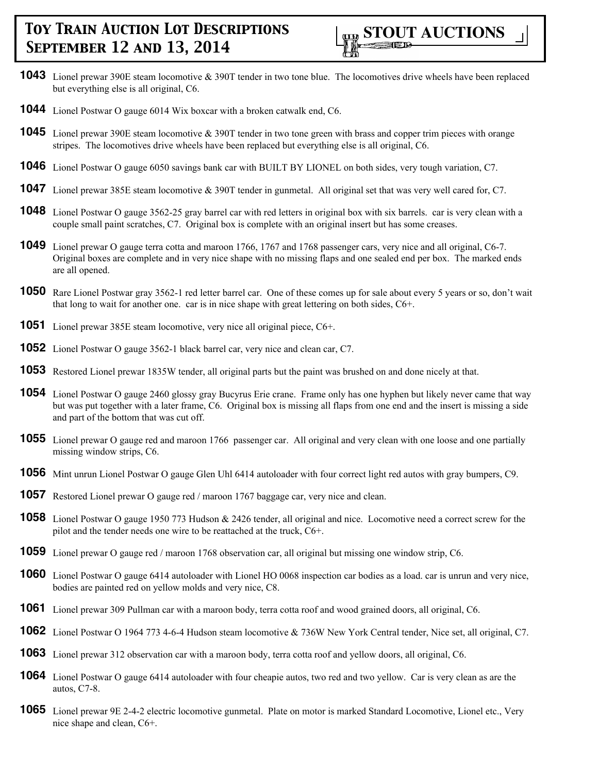

- **1043** Lionel prewar 390E steam locomotive & 390T tender in two tone blue. The locomotives drive wheels have been replaced but everything else is all original, C6.
- **1044** Lionel Postwar O gauge 6014 Wix boxcar with a broken catwalk end, C6.
- **1045** Lionel prewar 390E steam locomotive & 390T tender in two tone green with brass and copper trim pieces with orange stripes. The locomotives drive wheels have been replaced but everything else is all original, C6.
- **1046** Lionel Postwar O gauge 6050 savings bank car with BUILT BY LIONEL on both sides, very tough variation, C7.
- **1047** Lionel prewar 385E steam locomotive & 390T tender in gunmetal. All original set that was very well cared for, C7.
- **1048** Lionel Postwar O gauge 3562-25 gray barrel car with red letters in original box with six barrels. car is very clean with a couple small paint scratches, C7. Original box is complete with an original insert but has some creases.
- **1049** Lionel prewar O gauge terra cotta and maroon 1766, 1767 and 1768 passenger cars, very nice and all original, C6-7. Original boxes are complete and in very nice shape with no missing flaps and one sealed end per box. The marked ends are all opened.
- **1050** Rare Lionel Postwar gray 3562-1 red letter barrel car. One of these comes up for sale about every 5 years or so, don't wait that long to wait for another one. car is in nice shape with great lettering on both sides, C6+.
- **1051** Lionel prewar 385E steam locomotive, very nice all original piece, C6+.
- **1052** Lionel Postwar O gauge 3562-1 black barrel car, very nice and clean car, C7.
- **1053** Restored Lionel prewar 1835W tender, all original parts but the paint was brushed on and done nicely at that.
- **1054** Lionel Postwar O gauge 2460 glossy gray Bucyrus Erie crane. Frame only has one hyphen but likely never came that way but was put together with a later frame, C6. Original box is missing all flaps from one end and the insert is missing a side and part of the bottom that was cut off.
- **1055** Lionel prewar O gauge red and maroon 1766 passenger car. All original and very clean with one loose and one partially missing window strips, C6.
- **1056** Mint unrun Lionel Postwar O gauge Glen Uhl 6414 autoloader with four correct light red autos with gray bumpers, C9.
- **1057** Restored Lionel prewar O gauge red / maroon 1767 baggage car, very nice and clean.
- **1058** Lionel Postwar O gauge 1950 773 Hudson & 2426 tender, all original and nice. Locomotive need a correct screw for the pilot and the tender needs one wire to be reattached at the truck, C6+.
- **1059** Lionel prewar O gauge red / maroon 1768 observation car, all original but missing one window strip, C6.
- **1060** Lionel Postwar O gauge 6414 autoloader with Lionel HO 0068 inspection car bodies as a load. car is unrun and very nice, bodies are painted red on yellow molds and very nice, C8.
- **1061** Lionel prewar 309 Pullman car with a maroon body, terra cotta roof and wood grained doors, all original, C6.
- **1062** Lionel Postwar O 1964 773 4-6-4 Hudson steam locomotive & 736W New York Central tender, Nice set, all original, C7.
- **1063** Lionel prewar 312 observation car with a maroon body, terra cotta roof and yellow doors, all original, C6.
- **1064** Lionel Postwar O gauge 6414 autoloader with four cheapie autos, two red and two yellow. Car is very clean as are the autos, C7-8.
- **1065** Lionel prewar 9E 2-4-2 electric locomotive gunmetal. Plate on motor is marked Standard Locomotive, Lionel etc., Very nice shape and clean, C6+.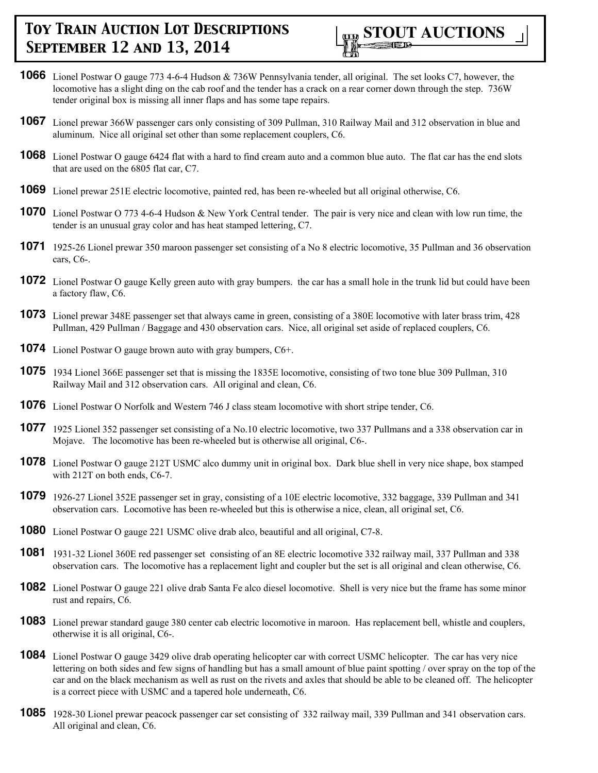

- **1066** Lionel Postwar O gauge 773 4-6-4 Hudson & 736W Pennsylvania tender, all original. The set looks C7, however, the locomotive has a slight ding on the cab roof and the tender has a crack on a rear corner down through the step. 736W tender original box is missing all inner flaps and has some tape repairs.
- **1067** Lionel prewar 366W passenger cars only consisting of 309 Pullman, 310 Railway Mail and 312 observation in blue and aluminum. Nice all original set other than some replacement couplers, C6.
- **1068** Lionel Postwar O gauge 6424 flat with a hard to find cream auto and a common blue auto. The flat car has the end slots that are used on the 6805 flat car, C7.
- **1069** Lionel prewar 251E electric locomotive, painted red, has been re-wheeled but all original otherwise, C6.
- **1070** Lionel Postwar O 773 4-6-4 Hudson & New York Central tender. The pair is very nice and clean with low run time, the tender is an unusual gray color and has heat stamped lettering, C7.
- **1071** 1925-26 Lionel prewar 350 maroon passenger set consisting of a No 8 electric locomotive, 35 Pullman and 36 observation cars, C6-.
- **1072** Lionel Postwar O gauge Kelly green auto with gray bumpers. the car has a small hole in the trunk lid but could have been a factory flaw, C6.
- **1073** Lionel prewar 348E passenger set that always came in green, consisting of a 380E locomotive with later brass trim, 428 Pullman, 429 Pullman / Baggage and 430 observation cars. Nice, all original set aside of replaced couplers, C6.
- **1074** Lionel Postwar O gauge brown auto with gray bumpers, C6+.
- **1075** 1934 Lionel 366E passenger set that is missing the 1835E locomotive, consisting of two tone blue 309 Pullman, 310 Railway Mail and 312 observation cars. All original and clean, C6.
- **1076** Lionel Postwar O Norfolk and Western 746 J class steam locomotive with short stripe tender, C6.
- **1077** 1925 Lionel 352 passenger set consisting of a No.10 electric locomotive, two 337 Pullmans and a 338 observation car in Mojave. The locomotive has been re-wheeled but is otherwise all original, C6-.
- **1078** Lionel Postwar O gauge 212T USMC alco dummy unit in original box. Dark blue shell in very nice shape, box stamped with 212T on both ends, C6-7.
- **1079** 1926-27 Lionel 352E passenger set in gray, consisting of a 10E electric locomotive, 332 baggage, 339 Pullman and 341 observation cars. Locomotive has been re-wheeled but this is otherwise a nice, clean, all original set, C6.
- **1080** Lionel Postwar O gauge 221 USMC olive drab alco, beautiful and all original, C7-8.
- **1081** 1931-32 Lionel 360E red passenger set consisting of an 8E electric locomotive 332 railway mail, 337 Pullman and 338 observation cars. The locomotive has a replacement light and coupler but the set is all original and clean otherwise, C6.
- **1082** Lionel Postwar O gauge 221 olive drab Santa Fe alco diesel locomotive. Shell is very nice but the frame has some minor rust and repairs, C6.
- **1083** Lionel prewar standard gauge 380 center cab electric locomotive in maroon. Has replacement bell, whistle and couplers, otherwise it is all original, C6-.
- **1084** Lionel Postwar O gauge 3429 olive drab operating helicopter car with correct USMC helicopter. The car has very nice lettering on both sides and few signs of handling but has a small amount of blue paint spotting / over spray on the top of the car and on the black mechanism as well as rust on the rivets and axles that should be able to be cleaned off. The helicopter is a correct piece with USMC and a tapered hole underneath, C6.
- **1085** 1928-30 Lionel prewar peacock passenger car set consisting of 332 railway mail, 339 Pullman and 341 observation cars. All original and clean, C6.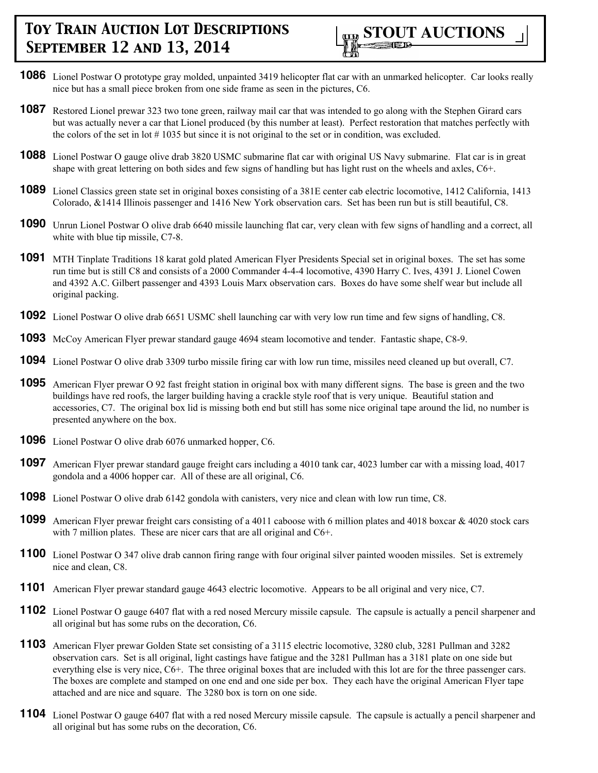

- **1086** Lionel Postwar O prototype gray molded, unpainted 3419 helicopter flat car with an unmarked helicopter. Car looks really nice but has a small piece broken from one side frame as seen in the pictures, C6.
- **1087** Restored Lionel prewar 323 two tone green, railway mail car that was intended to go along with the Stephen Girard cars but was actually never a car that Lionel produced (by this number at least). Perfect restoration that matches perfectly with the colors of the set in lot # 1035 but since it is not original to the set or in condition, was excluded.
- **1088** Lionel Postwar O gauge olive drab 3820 USMC submarine flat car with original US Navy submarine. Flat car is in great shape with great lettering on both sides and few signs of handling but has light rust on the wheels and axles, C6+.
- **1089** Lionel Classics green state set in original boxes consisting of a 381E center cab electric locomotive, 1412 California, 1413 Colorado, &1414 Illinois passenger and 1416 New York observation cars. Set has been run but is still beautiful, C8.
- **1090** Unrun Lionel Postwar O olive drab 6640 missile launching flat car, very clean with few signs of handling and a correct, all white with blue tip missile, C7-8.
- **1091** MTH Tinplate Traditions 18 karat gold plated American Flyer Presidents Special set in original boxes. The set has some run time but is still C8 and consists of a 2000 Commander 4-4-4 locomotive, 4390 Harry C. Ives, 4391 J. Lionel Cowen and 4392 A.C. Gilbert passenger and 4393 Louis Marx observation cars. Boxes do have some shelf wear but include all original packing.
- **1092** Lionel Postwar O olive drab 6651 USMC shell launching car with very low run time and few signs of handling, C8.
- **1093** McCoy American Flyer prewar standard gauge 4694 steam locomotive and tender. Fantastic shape, C8-9.
- **1094** Lionel Postwar O olive drab 3309 turbo missile firing car with low run time, missiles need cleaned up but overall, C7.
- **1095** American Flyer prewar O 92 fast freight station in original box with many different signs. The base is green and the two buildings have red roofs, the larger building having a crackle style roof that is very unique. Beautiful station and accessories, C7. The original box lid is missing both end but still has some nice original tape around the lid, no number is presented anywhere on the box.
- **1096** Lionel Postwar O olive drab 6076 unmarked hopper, C6.
- **1097** American Flyer prewar standard gauge freight cars including a 4010 tank car, 4023 lumber car with a missing load, 4017 gondola and a 4006 hopper car. All of these are all original, C6.
- **1098** Lionel Postwar O olive drab 6142 gondola with canisters, very nice and clean with low run time, C8.
- **1099** American Flyer prewar freight cars consisting of a 4011 caboose with 6 million plates and 4018 boxcar & 4020 stock cars with 7 million plates. These are nicer cars that are all original and C6+.
- **1100** Lionel Postwar O 347 olive drab cannon firing range with four original silver painted wooden missiles. Set is extremely nice and clean, C8.
- **1101** American Flyer prewar standard gauge 4643 electric locomotive. Appears to be all original and very nice, C7.
- **1102** Lionel Postwar O gauge 6407 flat with a red nosed Mercury missile capsule. The capsule is actually a pencil sharpener and all original but has some rubs on the decoration, C6.
- **1103** American Flyer prewar Golden State set consisting of a 3115 electric locomotive, 3280 club, 3281 Pullman and 3282 observation cars. Set is all original, light castings have fatigue and the 3281 Pullman has a 3181 plate on one side but everything else is very nice, C6+. The three original boxes that are included with this lot are for the three passenger cars. The boxes are complete and stamped on one end and one side per box. They each have the original American Flyer tape attached and are nice and square. The 3280 box is torn on one side.
- **1104** Lionel Postwar O gauge 6407 flat with a red nosed Mercury missile capsule. The capsule is actually a pencil sharpener and all original but has some rubs on the decoration, C6.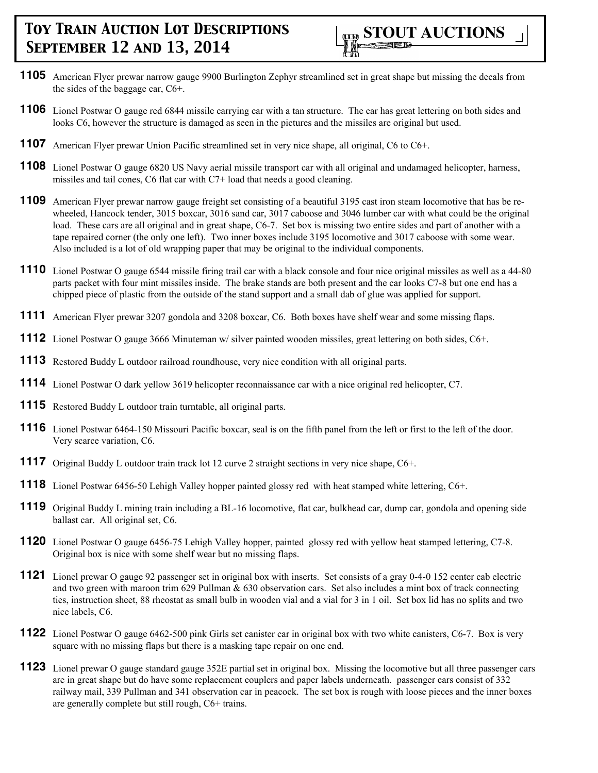- **1105** American Flyer prewar narrow gauge 9900 Burlington Zephyr streamlined set in great shape but missing the decals from the sides of the baggage car, C6+.
- **1106** Lionel Postwar O gauge red 6844 missile carrying car with a tan structure. The car has great lettering on both sides and looks C6, however the structure is damaged as seen in the pictures and the missiles are original but used.
- **1107** American Flyer prewar Union Pacific streamlined set in very nice shape, all original, C6 to C6+.
- **1108** Lionel Postwar O gauge 6820 US Navy aerial missile transport car with all original and undamaged helicopter, harness, missiles and tail cones, C6 flat car with C7+ load that needs a good cleaning.
- **1109** American Flyer prewar narrow gauge freight set consisting of a beautiful 3195 cast iron steam locomotive that has be rewheeled, Hancock tender, 3015 boxcar, 3016 sand car, 3017 caboose and 3046 lumber car with what could be the original load. These cars are all original and in great shape, C6-7. Set box is missing two entire sides and part of another with a tape repaired corner (the only one left). Two inner boxes include 3195 locomotive and 3017 caboose with some wear. Also included is a lot of old wrapping paper that may be original to the individual components.
- **1110** Lionel Postwar O gauge 6544 missile firing trail car with a black console and four nice original missiles as well as a 44-80 parts packet with four mint missiles inside. The brake stands are both present and the car looks C7-8 but one end has a chipped piece of plastic from the outside of the stand support and a small dab of glue was applied for support.
- **1111** American Flyer prewar 3207 gondola and 3208 boxcar, C6. Both boxes have shelf wear and some missing flaps.
- **1112** Lionel Postwar O gauge 3666 Minuteman w/ silver painted wooden missiles, great lettering on both sides, C6+.
- **1113** Restored Buddy L outdoor railroad roundhouse, very nice condition with all original parts.
- **1114** Lionel Postwar O dark yellow 3619 helicopter reconnaissance car with a nice original red helicopter, C7.
- **1115** Restored Buddy L outdoor train turntable, all original parts.
- **1116** Lionel Postwar 6464-150 Missouri Pacific boxcar, seal is on the fifth panel from the left or first to the left of the door. Very scarce variation, C6.
- **1117** Original Buddy L outdoor train track lot 12 curve 2 straight sections in very nice shape, C6+.
- **1118** Lionel Postwar 6456-50 Lehigh Valley hopper painted glossy red with heat stamped white lettering, C6+.
- **1119** Original Buddy L mining train including a BL-16 locomotive, flat car, bulkhead car, dump car, gondola and opening side ballast car. All original set, C6.
- **1120** Lionel Postwar O gauge 6456-75 Lehigh Valley hopper, painted glossy red with yellow heat stamped lettering, C7-8. Original box is nice with some shelf wear but no missing flaps.
- **1121** Lionel prewar O gauge 92 passenger set in original box with inserts. Set consists of a gray 0-4-0 152 center cab electric and two green with maroon trim 629 Pullman  $& 630$  observation cars. Set also includes a mint box of track connecting ties, instruction sheet, 88 rheostat as small bulb in wooden vial and a vial for 3 in 1 oil. Set box lid has no splits and two nice labels, C6.
- **1122** Lionel Postwar O gauge 6462-500 pink Girls set canister car in original box with two white canisters, C6-7. Box is very square with no missing flaps but there is a masking tape repair on one end.
- **1123** Lionel prewar O gauge standard gauge 352E partial set in original box. Missing the locomotive but all three passenger cars are in great shape but do have some replacement couplers and paper labels underneath. passenger cars consist of 332 railway mail, 339 Pullman and 341 observation car in peacock. The set box is rough with loose pieces and the inner boxes are generally complete but still rough, C6+ trains.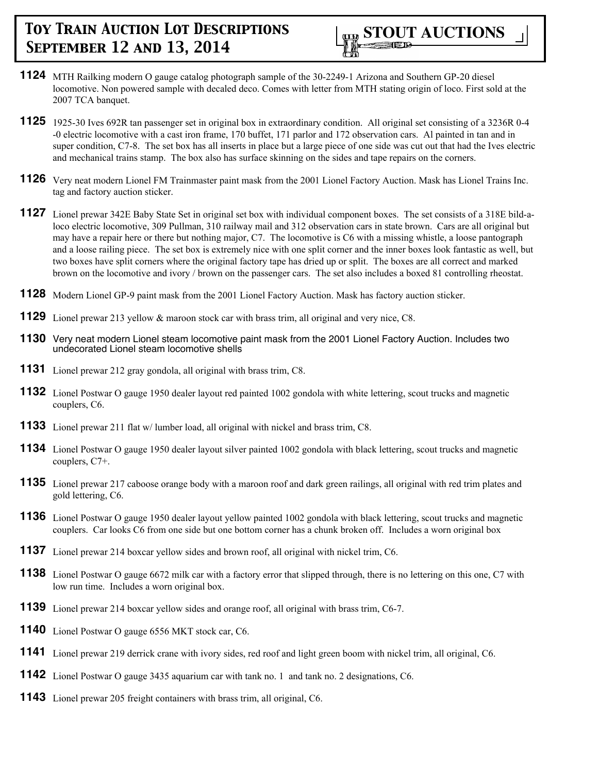- **1124** MTH Railking modern O gauge catalog photograph sample of the 30-2249-1 Arizona and Southern GP-20 diesel locomotive. Non powered sample with decaled deco. Comes with letter from MTH stating origin of loco. First sold at the 2007 TCA banquet.
- **1125** 1925-30 Ives 692R tan passenger set in original box in extraordinary condition. All original set consisting of a 3236R 0-4 -0 electric locomotive with a cast iron frame, 170 buffet, 171 parlor and 172 observation cars. Al painted in tan and in super condition, C7-8. The set box has all inserts in place but a large piece of one side was cut out that had the Ives electric and mechanical trains stamp. The box also has surface skinning on the sides and tape repairs on the corners.
- **1126** Very neat modern Lionel FM Trainmaster paint mask from the 2001 Lionel Factory Auction. Mask has Lionel Trains Inc. tag and factory auction sticker.
- **1127** Lionel prewar 342E Baby State Set in original set box with individual component boxes. The set consists of a 318E bild-aloco electric locomotive, 309 Pullman, 310 railway mail and 312 observation cars in state brown. Cars are all original but may have a repair here or there but nothing major, C7. The locomotive is C6 with a missing whistle, a loose pantograph and a loose railing piece. The set box is extremely nice with one split corner and the inner boxes look fantastic as well, but two boxes have split corners where the original factory tape has dried up or split. The boxes are all correct and marked brown on the locomotive and ivory / brown on the passenger cars. The set also includes a boxed 81 controlling rheostat.
- **1128** Modern Lionel GP-9 paint mask from the 2001 Lionel Factory Auction. Mask has factory auction sticker.
- **1129** Lionel prewar 213 yellow & maroon stock car with brass trim, all original and very nice, C8.
- **1130** Very neat modern Lionel steam locomotive paint mask from the 2001 Lionel Factory Auction. Includes two undecorated Lionel steam locomotive shells
- **1131** Lionel prewar 212 gray gondola, all original with brass trim, C8.
- **1132** Lionel Postwar O gauge 1950 dealer layout red painted 1002 gondola with white lettering, scout trucks and magnetic couplers, C6.
- **1133** Lionel prewar 211 flat w/ lumber load, all original with nickel and brass trim, C8.
- **1134** Lionel Postwar O gauge 1950 dealer layout silver painted 1002 gondola with black lettering, scout trucks and magnetic couplers, C7+.
- **1135** Lionel prewar 217 caboose orange body with a maroon roof and dark green railings, all original with red trim plates and gold lettering, C6.
- **1136** Lionel Postwar O gauge 1950 dealer layout yellow painted 1002 gondola with black lettering, scout trucks and magnetic couplers. Car looks C6 from one side but one bottom corner has a chunk broken off. Includes a worn original box
- **1137** Lionel prewar 214 boxcar yellow sides and brown roof, all original with nickel trim, C6.
- **1138** Lionel Postwar O gauge 6672 milk car with a factory error that slipped through, there is no lettering on this one, C7 with low run time. Includes a worn original box.
- **1139** Lionel prewar 214 boxcar yellow sides and orange roof, all original with brass trim, C6-7.
- **1140** Lionel Postwar O gauge 6556 MKT stock car, C6.
- **1141** Lionel prewar 219 derrick crane with ivory sides, red roof and light green boom with nickel trim, all original, C6.
- **1142** Lionel Postwar O gauge 3435 aquarium car with tank no. 1 and tank no. 2 designations, C6.
- **1143** Lionel prewar 205 freight containers with brass trim, all original, C6.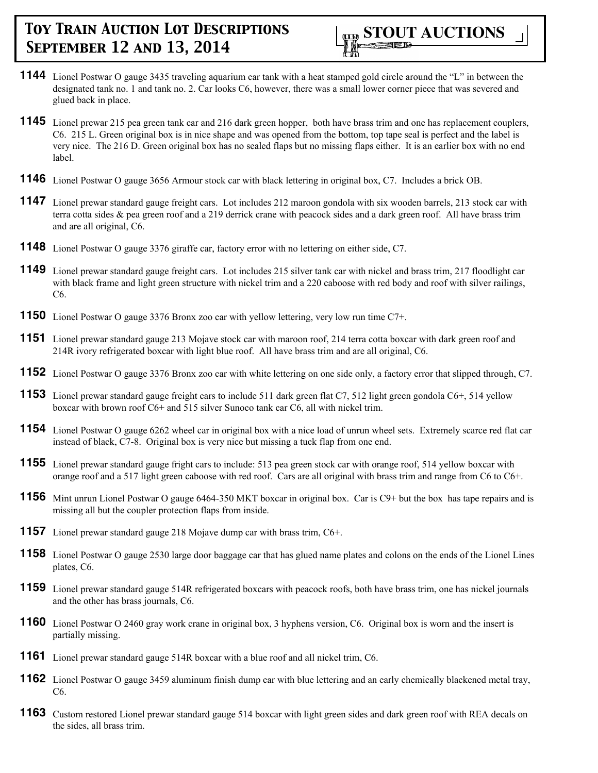- **1144** Lionel Postwar O gauge 3435 traveling aquarium car tank with a heat stamped gold circle around the "L" in between the designated tank no. 1 and tank no. 2. Car looks C6, however, there was a small lower corner piece that was severed and glued back in place.
- **1145** Lionel prewar 215 pea green tank car and 216 dark green hopper, both have brass trim and one has replacement couplers, C6. 215 L. Green original box is in nice shape and was opened from the bottom, top tape seal is perfect and the label is very nice. The 216 D. Green original box has no sealed flaps but no missing flaps either. It is an earlier box with no end label.
- **1146** Lionel Postwar O gauge 3656 Armour stock car with black lettering in original box, C7. Includes a brick OB.
- **1147** Lionel prewar standard gauge freight cars. Lot includes 212 maroon gondola with six wooden barrels, 213 stock car with terra cotta sides & pea green roof and a 219 derrick crane with peacock sides and a dark green roof. All have brass trim and are all original, C6.
- **1148** Lionel Postwar O gauge 3376 giraffe car, factory error with no lettering on either side, C7.
- **1149** Lionel prewar standard gauge freight cars. Lot includes 215 silver tank car with nickel and brass trim, 217 floodlight car with black frame and light green structure with nickel trim and a 220 caboose with red body and roof with silver railings, C6.
- **1150** Lionel Postwar O gauge 3376 Bronx zoo car with yellow lettering, very low run time C7+.
- **1151** Lionel prewar standard gauge 213 Mojave stock car with maroon roof, 214 terra cotta boxcar with dark green roof and 214R ivory refrigerated boxcar with light blue roof. All have brass trim and are all original, C6.
- **1152** Lionel Postwar O gauge 3376 Bronx zoo car with white lettering on one side only, a factory error that slipped through, C7.
- **1153** Lionel prewar standard gauge freight cars to include 511 dark green flat C7, 512 light green gondola C6+, 514 yellow boxcar with brown roof C6+ and 515 silver Sunoco tank car C6, all with nickel trim.
- **1154** Lionel Postwar O gauge 6262 wheel car in original box with a nice load of unrun wheel sets. Extremely scarce red flat car instead of black, C7-8. Original box is very nice but missing a tuck flap from one end.
- **1155** Lionel prewar standard gauge fright cars to include: 513 pea green stock car with orange roof, 514 yellow boxcar with orange roof and a 517 light green caboose with red roof. Cars are all original with brass trim and range from C6 to C6+.
- **1156** Mint unrun Lionel Postwar O gauge 6464-350 MKT boxcar in original box. Car is C9+ but the box has tape repairs and is missing all but the coupler protection flaps from inside.
- **1157** Lionel prewar standard gauge 218 Mojave dump car with brass trim, C6+.
- **1158** Lionel Postwar O gauge 2530 large door baggage car that has glued name plates and colons on the ends of the Lionel Lines plates, C6.
- **1159** Lionel prewar standard gauge 514R refrigerated boxcars with peacock roofs, both have brass trim, one has nickel journals and the other has brass journals, C6.
- **1160** Lionel Postwar O 2460 gray work crane in original box, 3 hyphens version, C6. Original box is worn and the insert is partially missing.
- **1161** Lionel prewar standard gauge 514R boxcar with a blue roof and all nickel trim, C6.
- **1162** Lionel Postwar O gauge 3459 aluminum finish dump car with blue lettering and an early chemically blackened metal tray, C6.
- **1163** Custom restored Lionel prewar standard gauge 514 boxcar with light green sides and dark green roof with REA decals on the sides, all brass trim.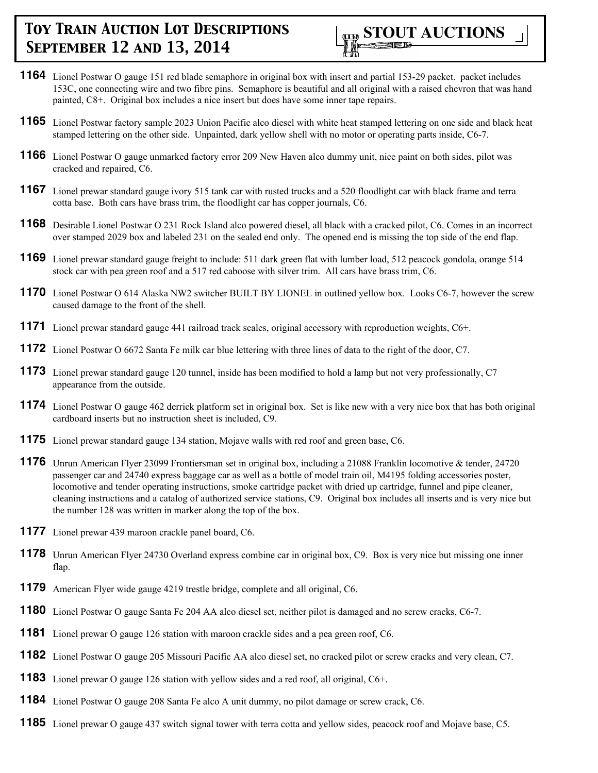- **1164** Lionel Postwar O gauge 151 red blade semaphore in original box with insert and partial 153-29 packet. packet includes 153C, one connecting wire and two fibre pins. Semaphore is beautiful and all original with a raised chevron that was hand painted, C8+. Original box includes a nice insert but does have some inner tape repairs.
- **1165** Lionel Postwar factory sample 2023 Union Pacific alco diesel with white heat stamped lettering on one side and black heat stamped lettering on the other side. Unpainted, dark yellow shell with no motor or operating parts inside, C6-7.
- **1166** Lionel Postwar O gauge unmarked factory error 209 New Haven alco dummy unit, nice paint on both sides, pilot was cracked and repaired, C6.
- **1167** Lionel prewar standard gauge ivory 515 tank car with rusted trucks and a 520 floodlight car with black frame and terra cotta base. Both cars have brass trim, the floodlight car has copper journals, C6.
- **1168** Desirable Lionel Postwar O 231 Rock Island alco powered diesel, all black with a cracked pilot, C6. Comes in an incorrect over stamped 2029 box and labeled 231 on the sealed end only. The opened end is missing the top side of the end flap.
- **1169** Lionel prewar standard gauge freight to include: 511 dark green flat with lumber load, 512 peacock gondola, orange 514 stock car with pea green roof and a 517 red caboose with silver trim. All cars have brass trim, C6.
- **1170** Lionel Postwar O 614 Alaska NW2 switcher BUILT BY LIONEL in outlined yellow box. Looks C6-7, however the screw caused damage to the front of the shell.
- **1171** Lionel prewar standard gauge 441 railroad track scales, original accessory with reproduction weights, C6+.
- **1172** Lionel Postwar O 6672 Santa Fe milk car blue lettering with three lines of data to the right of the door, C7.
- **1173** Lionel prewar standard gauge 120 tunnel, inside has been modified to hold a lamp but not very professionally, C7 appearance from the outside.
- **1174** Lionel Postwar O gauge 462 derrick platform set in original box. Set is like new with a very nice box that has both original cardboard inserts but no instruction sheet is included, C9.
- **1175** Lionel prewar standard gauge 134 station, Mojave walls with red roof and green base, C6.
- **1176** Unrun American Flyer 23099 Frontiersman set in original box, including a 21088 Franklin locomotive & tender, 24720 passenger car and 24740 express baggage car as well as a bottle of model train oil, M4195 folding accessories poster, locomotive and tender operating instructions, smoke cartridge packet with dried up cartridge, funnel and pipe cleaner, cleaning instructions and a catalog of authorized service stations, C9. Original box includes all inserts and is very nice but the number 128 was written in marker along the top of the box.
- **1177** Lionel prewar 439 maroon crackle panel board, C6.
- **1178** Unrun American Flyer 24730 Overland express combine car in original box, C9. Box is very nice but missing one inner flap.
- **1179** American Flyer wide gauge 4219 trestle bridge, complete and all original, C6.
- **1180** Lionel Postwar O gauge Santa Fe 204 AA alco diesel set, neither pilot is damaged and no screw cracks, C6-7.
- **1181** Lionel prewar O gauge 126 station with maroon crackle sides and a pea green roof, C6.
- **1182** Lionel Postwar O gauge 205 Missouri Pacific AA alco diesel set, no cracked pilot or screw cracks and very clean, C7.
- **1183** Lionel prewar O gauge 126 station with yellow sides and a red roof, all original, C6+.
- **1184** Lionel Postwar O gauge 208 Santa Fe alco A unit dummy, no pilot damage or screw crack, C6.
- **1185** Lionel prewar O gauge 437 switch signal tower with terra cotta and yellow sides, peacock roof and Mojave base, C5.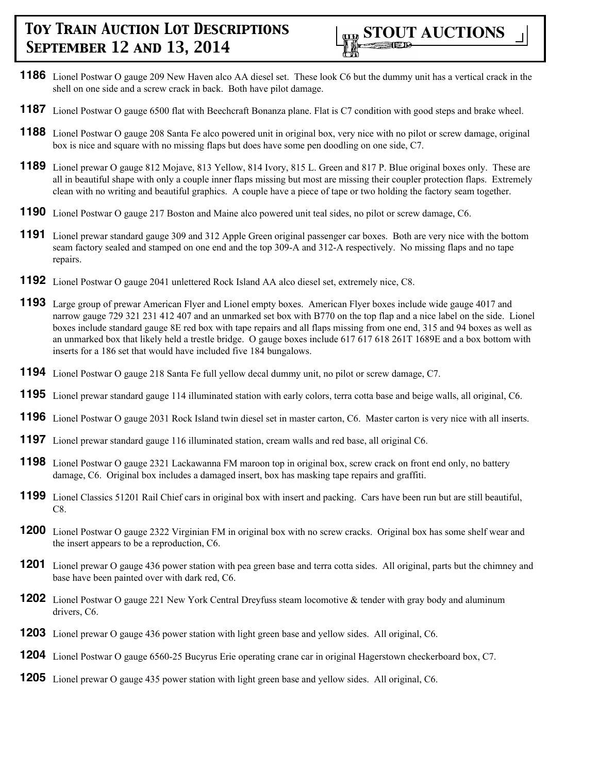

- **1186** Lionel Postwar O gauge 209 New Haven alco AA diesel set. These look C6 but the dummy unit has a vertical crack in the shell on one side and a screw crack in back. Both have pilot damage.
- **1187** Lionel Postwar O gauge 6500 flat with Beechcraft Bonanza plane. Flat is C7 condition with good steps and brake wheel.
- **1188** Lionel Postwar O gauge 208 Santa Fe alco powered unit in original box, very nice with no pilot or screw damage, original box is nice and square with no missing flaps but does have some pen doodling on one side, C7.
- **1189** Lionel prewar O gauge 812 Mojave, 813 Yellow, 814 Ivory, 815 L. Green and 817 P. Blue original boxes only. These are all in beautiful shape with only a couple inner flaps missing but most are missing their coupler protection flaps. Extremely clean with no writing and beautiful graphics. A couple have a piece of tape or two holding the factory seam together.
- **1190** Lionel Postwar O gauge 217 Boston and Maine alco powered unit teal sides, no pilot or screw damage, C6.
- **1191** Lionel prewar standard gauge 309 and 312 Apple Green original passenger car boxes. Both are very nice with the bottom seam factory sealed and stamped on one end and the top 309-A and 312-A respectively. No missing flaps and no tape repairs.
- **1192** Lionel Postwar O gauge 2041 unlettered Rock Island AA alco diesel set, extremely nice, C8.
- **1193** Large group of prewar American Flyer and Lionel empty boxes. American Flyer boxes include wide gauge 4017 and narrow gauge 729 321 231 412 407 and an unmarked set box with B770 on the top flap and a nice label on the side. Lionel boxes include standard gauge 8E red box with tape repairs and all flaps missing from one end, 315 and 94 boxes as well as an unmarked box that likely held a trestle bridge. O gauge boxes include 617 617 618 261T 1689E and a box bottom with inserts for a 186 set that would have included five 184 bungalows.
- **1194** Lionel Postwar O gauge 218 Santa Fe full yellow decal dummy unit, no pilot or screw damage, C7.
- **1195** Lionel prewar standard gauge 114 illuminated station with early colors, terra cotta base and beige walls, all original, C6.
- **1196** Lionel Postwar O gauge 2031 Rock Island twin diesel set in master carton, C6. Master carton is very nice with all inserts.
- **1197** Lionel prewar standard gauge 116 illuminated station, cream walls and red base, all original C6.
- **1198** Lionel Postwar O gauge 2321 Lackawanna FM maroon top in original box, screw crack on front end only, no battery damage, C6. Original box includes a damaged insert, box has masking tape repairs and graffiti.
- **1199** Lionel Classics 51201 Rail Chief cars in original box with insert and packing. Cars have been run but are still beautiful, C8.
- **1200** Lionel Postwar O gauge 2322 Virginian FM in original box with no screw cracks. Original box has some shelf wear and the insert appears to be a reproduction, C6.
- **1201** Lionel prewar O gauge 436 power station with pea green base and terra cotta sides. All original, parts but the chimney and base have been painted over with dark red, C6.
- **1202** Lionel Postwar O gauge 221 New York Central Dreyfuss steam locomotive & tender with gray body and aluminum drivers, C6.
- **1203** Lionel prewar O gauge 436 power station with light green base and yellow sides. All original, C6.
- **1204** Lionel Postwar O gauge 6560-25 Bucyrus Erie operating crane car in original Hagerstown checkerboard box, C7.
- **1205** Lionel prewar O gauge 435 power station with light green base and yellow sides. All original, C6.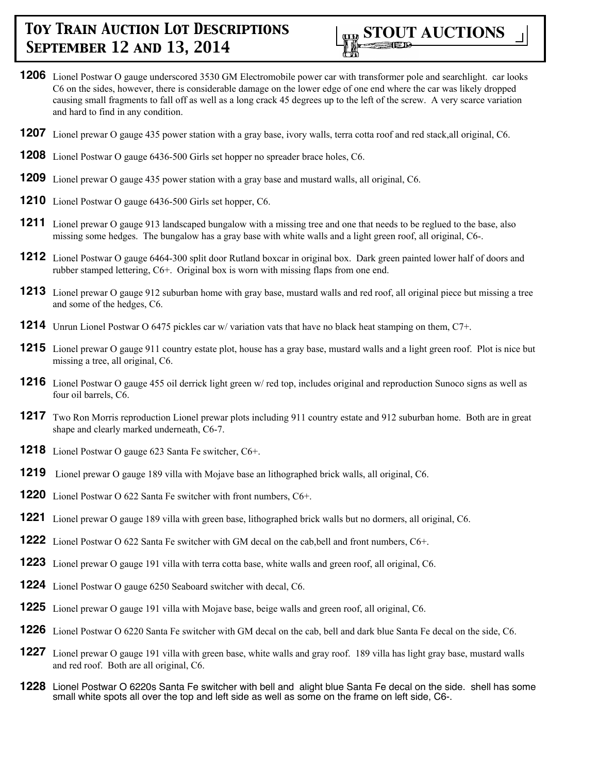

- Lionel Postwar O gauge underscored 3530 GM Electromobile power car with transformer pole and searchlight. car looks C6 on the sides, however, there is considerable damage on the lower edge of one end where the car was likely dropped causing small fragments to fall off as well as a long crack 45 degrees up to the left of the screw. A very scarce variation and hard to find in any condition.
- Lionel prewar O gauge 435 power station with a gray base, ivory walls, terra cotta roof and red stack,all original, C6.
- Lionel Postwar O gauge 6436-500 Girls set hopper no spreader brace holes, C6.
- Lionel prewar O gauge 435 power station with a gray base and mustard walls, all original, C6.
- Lionel Postwar O gauge 6436-500 Girls set hopper, C6.
- Lionel prewar O gauge 913 landscaped bungalow with a missing tree and one that needs to be reglued to the base, also missing some hedges. The bungalow has a gray base with white walls and a light green roof, all original, C6-.
- Lionel Postwar O gauge 6464-300 split door Rutland boxcar in original box. Dark green painted lower half of doors and rubber stamped lettering, C6+. Original box is worn with missing flaps from one end.
- Lionel prewar O gauge 912 suburban home with gray base, mustard walls and red roof, all original piece but missing a tree and some of the hedges, C6.
- Unrun Lionel Postwar O 6475 pickles car w/ variation vats that have no black heat stamping on them, C7+.
- Lionel prewar O gauge 911 country estate plot, house has a gray base, mustard walls and a light green roof. Plot is nice but missing a tree, all original, C6.
- Lionel Postwar O gauge 455 oil derrick light green w/ red top, includes original and reproduction Sunoco signs as well as four oil barrels, C6.
- Two Ron Morris reproduction Lionel prewar plots including 911 country estate and 912 suburban home. Both are in great shape and clearly marked underneath, C6-7.
- Lionel Postwar O gauge 623 Santa Fe switcher, C6+.
- Lionel prewar O gauge 189 villa with Mojave base an lithographed brick walls, all original, C6.
- Lionel Postwar O 622 Santa Fe switcher with front numbers, C6+.
- Lionel prewar O gauge 189 villa with green base, lithographed brick walls but no dormers, all original, C6.
- Lionel Postwar O 622 Santa Fe switcher with GM decal on the cab, bell and front numbers, C6+.
- Lionel prewar O gauge 191 villa with terra cotta base, white walls and green roof, all original, C6.
- Lionel Postwar O gauge 6250 Seaboard switcher with decal, C6.
- Lionel prewar O gauge 191 villa with Mojave base, beige walls and green roof, all original, C6.
- Lionel Postwar O 6220 Santa Fe switcher with GM decal on the cab, bell and dark blue Santa Fe decal on the side, C6.
- Lionel prewar O gauge 191 villa with green base, white walls and gray roof. 189 villa has light gray base, mustard walls and red roof. Both are all original, C6.
- Lionel Postwar O 6220s Santa Fe switcher with bell and alight blue Santa Fe decal on the side. shell has some small white spots all over the top and left side as well as some on the frame on left side, C6-.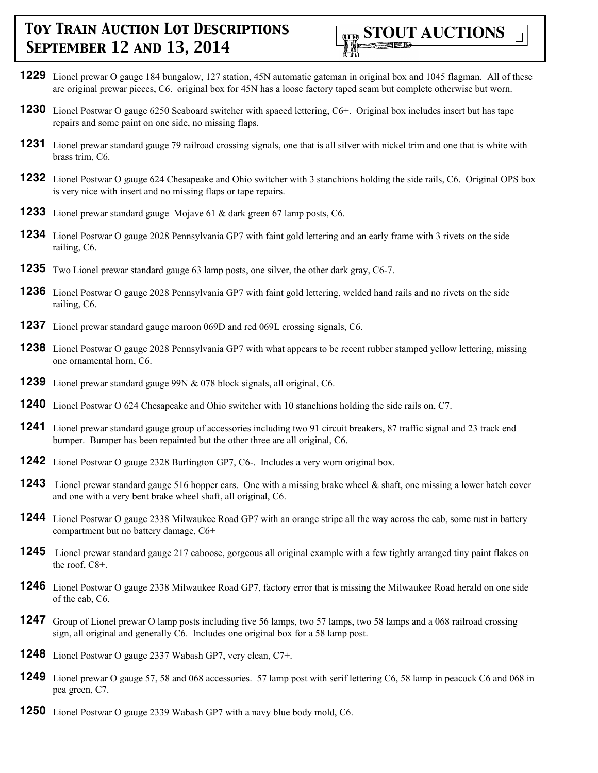

- **1229** Lionel prewar O gauge 184 bungalow, 127 station, 45N automatic gateman in original box and 1045 flagman. All of these are original prewar pieces, C6. original box for 45N has a loose factory taped seam but complete otherwise but worn.
- **1230** Lionel Postwar O gauge 6250 Seaboard switcher with spaced lettering, C6+. Original box includes insert but has tape repairs and some paint on one side, no missing flaps.
- **1231** Lionel prewar standard gauge 79 railroad crossing signals, one that is all silver with nickel trim and one that is white with brass trim, C6.
- **1232** Lionel Postwar O gauge 624 Chesapeake and Ohio switcher with 3 stanchions holding the side rails, C6. Original OPS box is very nice with insert and no missing flaps or tape repairs.
- **1233** Lionel prewar standard gauge Mojave 61 & dark green 67 lamp posts, C6.
- **1234** Lionel Postwar O gauge 2028 Pennsylvania GP7 with faint gold lettering and an early frame with 3 rivets on the side railing, C6.
- **1235** Two Lionel prewar standard gauge 63 lamp posts, one silver, the other dark gray, C6-7.
- **1236** Lionel Postwar O gauge 2028 Pennsylvania GP7 with faint gold lettering, welded hand rails and no rivets on the side railing, C6.
- **1237** Lionel prewar standard gauge maroon 069D and red 069L crossing signals, C6.
- **1238** Lionel Postwar O gauge 2028 Pennsylvania GP7 with what appears to be recent rubber stamped yellow lettering, missing one ornamental horn, C6.
- **1239** Lionel prewar standard gauge 99N & 078 block signals, all original, C6.
- **1240** Lionel Postwar O 624 Chesapeake and Ohio switcher with 10 stanchions holding the side rails on, C7.
- **1241** Lionel prewar standard gauge group of accessories including two 91 circuit breakers, 87 traffic signal and 23 track end bumper. Bumper has been repainted but the other three are all original, C6.
- **1242** Lionel Postwar O gauge 2328 Burlington GP7, C6-. Includes a very worn original box.
- **1243** Lionel prewar standard gauge 516 hopper cars. One with a missing brake wheel & shaft, one missing a lower hatch cover and one with a very bent brake wheel shaft, all original, C6.
- **1244** Lionel Postwar O gauge 2338 Milwaukee Road GP7 with an orange stripe all the way across the cab, some rust in battery compartment but no battery damage, C6+
- **1245** Lionel prewar standard gauge 217 caboose, gorgeous all original example with a few tightly arranged tiny paint flakes on the roof, C8+.
- **1246** Lionel Postwar O gauge 2338 Milwaukee Road GP7, factory error that is missing the Milwaukee Road herald on one side of the cab, C6.
- **1247** Group of Lionel prewar O lamp posts including five 56 lamps, two 57 lamps, two 58 lamps and a 068 railroad crossing sign, all original and generally C6. Includes one original box for a 58 lamp post.
- **1248** Lionel Postwar O gauge 2337 Wabash GP7, very clean, C7+.
- **1249** Lionel prewar O gauge 57, 58 and 068 accessories. 57 lamp post with serif lettering C6, 58 lamp in peacock C6 and 068 in pea green, C7.
- **1250** Lionel Postwar O gauge 2339 Wabash GP7 with a navy blue body mold, C6.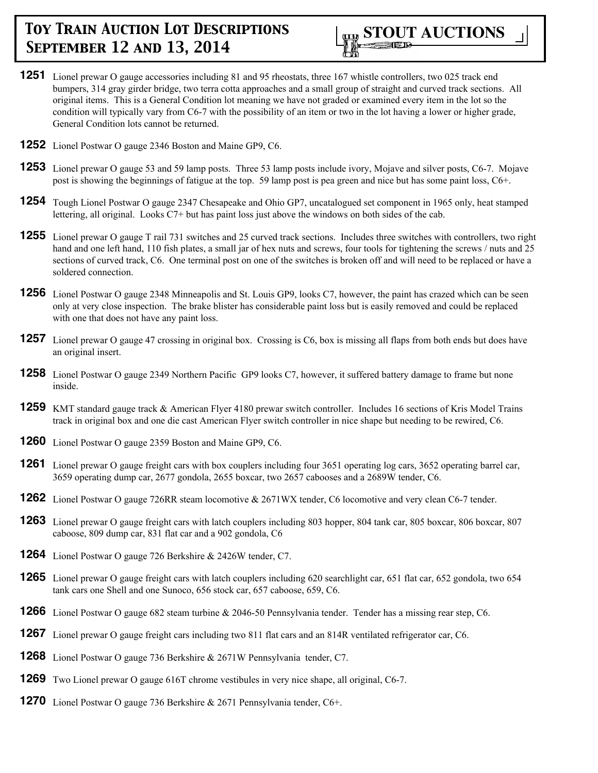

- **1251** Lionel prewar O gauge accessories including 81 and 95 rheostats, three 167 whistle controllers, two 025 track end bumpers, 314 gray girder bridge, two terra cotta approaches and a small group of straight and curved track sections. All original items. This is a General Condition lot meaning we have not graded or examined every item in the lot so the condition will typically vary from C6-7 with the possibility of an item or two in the lot having a lower or higher grade, General Condition lots cannot be returned.
- **1252** Lionel Postwar O gauge 2346 Boston and Maine GP9, C6.
- **1253** Lionel prewar O gauge 53 and 59 lamp posts. Three 53 lamp posts include ivory, Mojave and silver posts, C6-7. Mojave post is showing the beginnings of fatigue at the top. 59 lamp post is pea green and nice but has some paint loss, C6+.
- **1254** Tough Lionel Postwar O gauge 2347 Chesapeake and Ohio GP7, uncatalogued set component in 1965 only, heat stamped lettering, all original. Looks C7+ but has paint loss just above the windows on both sides of the cab.
- **1255** Lionel prewar O gauge T rail 731 switches and 25 curved track sections. Includes three switches with controllers, two right hand and one left hand, 110 fish plates, a small jar of hex nuts and screws, four tools for tightening the screws / nuts and 25 sections of curved track, C6. One terminal post on one of the switches is broken off and will need to be replaced or have a soldered connection.
- **1256** Lionel Postwar O gauge 2348 Minneapolis and St. Louis GP9, looks C7, however, the paint has crazed which can be seen only at very close inspection. The brake blister has considerable paint loss but is easily removed and could be replaced with one that does not have any paint loss.
- **1257** Lionel prewar O gauge 47 crossing in original box. Crossing is C6, box is missing all flaps from both ends but does have an original insert.
- **1258** Lionel Postwar O gauge 2349 Northern Pacific GP9 looks C7, however, it suffered battery damage to frame but none inside.
- **1259** KMT standard gauge track & American Flyer 4180 prewar switch controller. Includes 16 sections of Kris Model Trains track in original box and one die cast American Flyer switch controller in nice shape but needing to be rewired, C6.
- **1260** Lionel Postwar O gauge 2359 Boston and Maine GP9, C6.
- **1261** Lionel prewar O gauge freight cars with box couplers including four 3651 operating log cars, 3652 operating barrel car, 3659 operating dump car, 2677 gondola, 2655 boxcar, two 2657 cabooses and a 2689W tender, C6.
- **1262** Lionel Postwar O gauge 726RR steam locomotive & 2671WX tender, C6 locomotive and very clean C6-7 tender.
- **1263** Lionel prewar O gauge freight cars with latch couplers including 803 hopper, 804 tank car, 805 boxcar, 806 boxcar, 807 caboose, 809 dump car, 831 flat car and a 902 gondola, C6
- **1264** Lionel Postwar O gauge 726 Berkshire & 2426W tender, C7.
- **1265** Lionel prewar O gauge freight cars with latch couplers including 620 searchlight car, 651 flat car, 652 gondola, two 654 tank cars one Shell and one Sunoco, 656 stock car, 657 caboose, 659, C6.
- **1266** Lionel Postwar O gauge 682 steam turbine & 2046-50 Pennsylvania tender. Tender has a missing rear step, C6.
- **1267** Lionel prewar O gauge freight cars including two 811 flat cars and an 814R ventilated refrigerator car, C6.
- **1268** Lionel Postwar O gauge 736 Berkshire & 2671W Pennsylvania tender, C7.
- **1269** Two Lionel prewar O gauge 616T chrome vestibules in very nice shape, all original, C6-7.
- **1270** Lionel Postwar O gauge 736 Berkshire & 2671 Pennsylvania tender, C6+.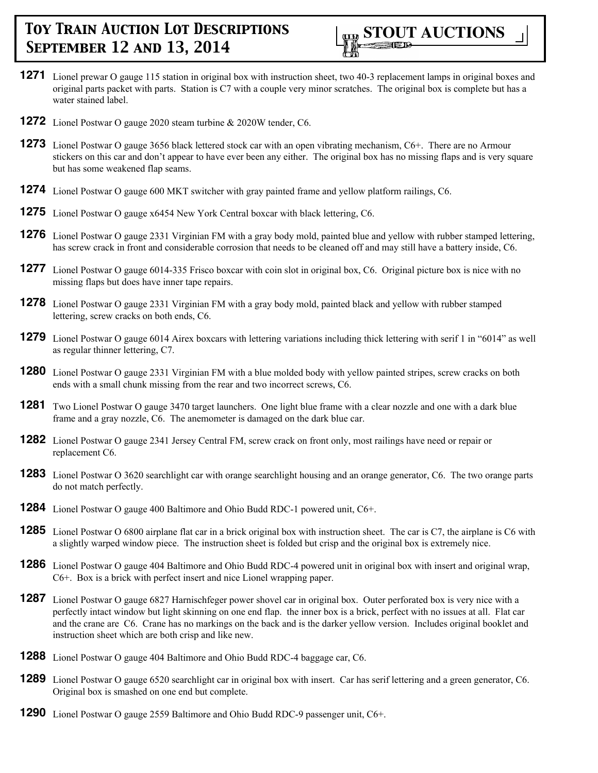

- **1271** Lionel prewar O gauge 115 station in original box with instruction sheet, two 40-3 replacement lamps in original boxes and original parts packet with parts. Station is C7 with a couple very minor scratches. The original box is complete but has a water stained label.
- **1272** Lionel Postwar O gauge 2020 steam turbine & 2020W tender, C6.
- **1273** Lionel Postwar O gauge 3656 black lettered stock car with an open vibrating mechanism, C6+. There are no Armour stickers on this car and don't appear to have ever been any either. The original box has no missing flaps and is very square but has some weakened flap seams.
- **1274** Lionel Postwar O gauge 600 MKT switcher with gray painted frame and yellow platform railings, C6.
- **1275** Lionel Postwar O gauge x6454 New York Central boxcar with black lettering, C6.
- **1276** Lionel Postwar O gauge 2331 Virginian FM with a gray body mold, painted blue and yellow with rubber stamped lettering, has screw crack in front and considerable corrosion that needs to be cleaned off and may still have a battery inside, C6.
- **1277** Lionel Postwar O gauge 6014-335 Frisco boxcar with coin slot in original box, C6. Original picture box is nice with no missing flaps but does have inner tape repairs.
- **1278** Lionel Postwar O gauge 2331 Virginian FM with a gray body mold, painted black and yellow with rubber stamped lettering, screw cracks on both ends, C6.
- **1279** Lionel Postwar O gauge 6014 Airex boxcars with lettering variations including thick lettering with serif 1 in "6014" as well as regular thinner lettering, C7.
- **1280** Lionel Postwar O gauge 2331 Virginian FM with a blue molded body with yellow painted stripes, screw cracks on both ends with a small chunk missing from the rear and two incorrect screws, C6.
- **1281** Two Lionel Postwar O gauge 3470 target launchers. One light blue frame with a clear nozzle and one with a dark blue frame and a gray nozzle, C6. The anemometer is damaged on the dark blue car.
- **1282** Lionel Postwar O gauge 2341 Jersey Central FM, screw crack on front only, most railings have need or repair or replacement C6.
- **1283** Lionel Postwar O 3620 searchlight car with orange searchlight housing and an orange generator, C6. The two orange parts do not match perfectly.
- **1284** Lionel Postwar O gauge 400 Baltimore and Ohio Budd RDC-1 powered unit, C6+.
- **1285** Lionel Postwar O 6800 airplane flat car in a brick original box with instruction sheet. The car is C7, the airplane is C6 with a slightly warped window piece. The instruction sheet is folded but crisp and the original box is extremely nice.
- **1286** Lionel Postwar O gauge 404 Baltimore and Ohio Budd RDC-4 powered unit in original box with insert and original wrap, C6+. Box is a brick with perfect insert and nice Lionel wrapping paper.
- **1287** Lionel Postwar O gauge 6827 Harnischfeger power shovel car in original box. Outer perforated box is very nice with a perfectly intact window but light skinning on one end flap. the inner box is a brick, perfect with no issues at all. Flat car and the crane are C6. Crane has no markings on the back and is the darker yellow version. Includes original booklet and instruction sheet which are both crisp and like new.
- **1288** Lionel Postwar O gauge 404 Baltimore and Ohio Budd RDC-4 baggage car, C6.
- **1289** Lionel Postwar O gauge 6520 searchlight car in original box with insert. Car has serif lettering and a green generator, C6. Original box is smashed on one end but complete.
- **1290** Lionel Postwar O gauge 2559 Baltimore and Ohio Budd RDC-9 passenger unit, C6+.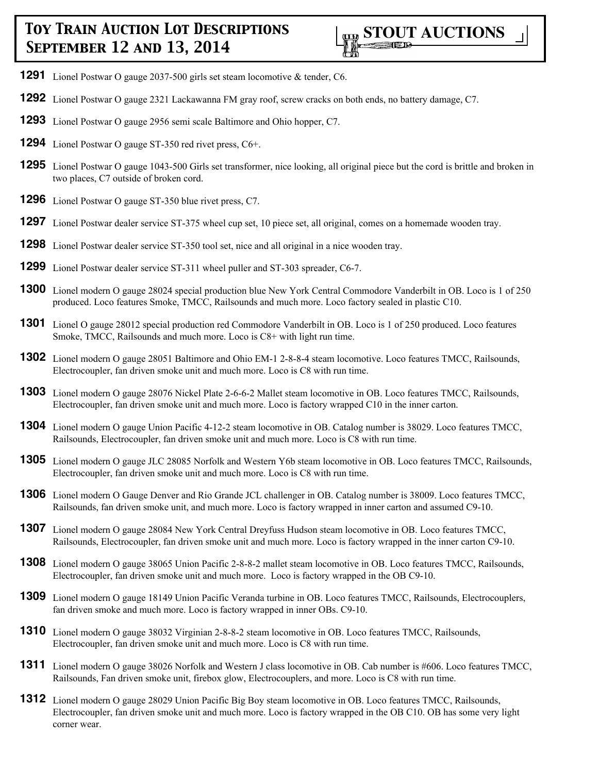

- **1291** Lionel Postwar O gauge 2037-500 girls set steam locomotive & tender, C6.
- **1292** Lionel Postwar O gauge 2321 Lackawanna FM gray roof, screw cracks on both ends, no battery damage, C7.
- **1293** Lionel Postwar O gauge 2956 semi scale Baltimore and Ohio hopper, C7.
- **1294** Lionel Postwar O gauge ST-350 red rivet press, C6+.
- **1295** Lionel Postwar O gauge 1043-500 Girls set transformer, nice looking, all original piece but the cord is brittle and broken in two places, C7 outside of broken cord.
- **1296** Lionel Postwar O gauge ST-350 blue rivet press, C7.
- **1297** Lionel Postwar dealer service ST-375 wheel cup set, 10 piece set, all original, comes on a homemade wooden tray.
- **1298** Lionel Postwar dealer service ST-350 tool set, nice and all original in a nice wooden tray.
- **1299** Lionel Postwar dealer service ST-311 wheel puller and ST-303 spreader, C6-7.
- **1300** Lionel modern O gauge 28024 special production blue New York Central Commodore Vanderbilt in OB. Loco is 1 of 250 produced. Loco features Smoke, TMCC, Railsounds and much more. Loco factory sealed in plastic C10.
- **1301** Lionel O gauge 28012 special production red Commodore Vanderbilt in OB. Loco is 1 of 250 produced. Loco features Smoke, TMCC, Railsounds and much more. Loco is C8+ with light run time.
- **1302** Lionel modern O gauge 28051 Baltimore and Ohio EM-1 2-8-8-4 steam locomotive. Loco features TMCC, Railsounds, Electrocoupler, fan driven smoke unit and much more. Loco is C8 with run time.
- **1303** Lionel modern O gauge 28076 Nickel Plate 2-6-6-2 Mallet steam locomotive in OB. Loco features TMCC, Railsounds, Electrocoupler, fan driven smoke unit and much more. Loco is factory wrapped C10 in the inner carton.
- **1304** Lionel modern O gauge Union Pacific 4-12-2 steam locomotive in OB. Catalog number is 38029. Loco features TMCC, Railsounds, Electrocoupler, fan driven smoke unit and much more. Loco is C8 with run time.
- **1305** Lionel modern O gauge JLC 28085 Norfolk and Western Y6b steam locomotive in OB. Loco features TMCC, Railsounds, Electrocoupler, fan driven smoke unit and much more. Loco is C8 with run time.
- **1306** Lionel modern O Gauge Denver and Rio Grande JCL challenger in OB. Catalog number is 38009. Loco features TMCC, Railsounds, fan driven smoke unit, and much more. Loco is factory wrapped in inner carton and assumed C9-10.
- **1307** Lionel modern O gauge 28084 New York Central Dreyfuss Hudson steam locomotive in OB. Loco features TMCC, Railsounds, Electrocoupler, fan driven smoke unit and much more. Loco is factory wrapped in the inner carton C9-10.
- **1308** Lionel modern O gauge 38065 Union Pacific 2-8-8-2 mallet steam locomotive in OB. Loco features TMCC, Railsounds, Electrocoupler, fan driven smoke unit and much more. Loco is factory wrapped in the OB C9-10.
- **1309** Lionel modern O gauge 18149 Union Pacific Veranda turbine in OB. Loco features TMCC, Railsounds, Electrocouplers, fan driven smoke and much more. Loco is factory wrapped in inner OBs. C9-10.
- **1310** Lionel modern O gauge 38032 Virginian 2-8-8-2 steam locomotive in OB. Loco features TMCC, Railsounds, Electrocoupler, fan driven smoke unit and much more. Loco is C8 with run time.
- **1311** Lionel modern O gauge 38026 Norfolk and Western J class locomotive in OB. Cab number is #606. Loco features TMCC, Railsounds, Fan driven smoke unit, firebox glow, Electrocouplers, and more. Loco is C8 with run time.
- **1312** Lionel modern O gauge 28029 Union Pacific Big Boy steam locomotive in OB. Loco features TMCC, Railsounds, Electrocoupler, fan driven smoke unit and much more. Loco is factory wrapped in the OB C10. OB has some very light corner wear.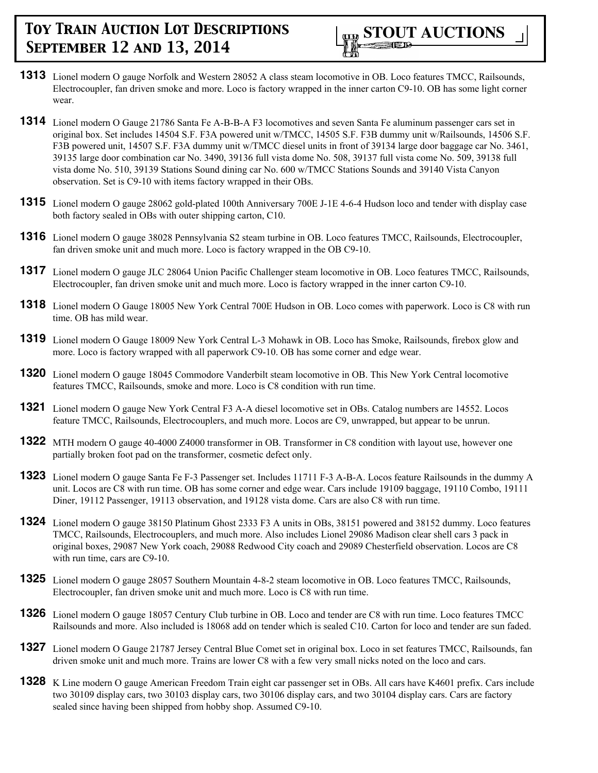- **1313** Lionel modern O gauge Norfolk and Western 28052 A class steam locomotive in OB. Loco features TMCC, Railsounds, Electrocoupler, fan driven smoke and more. Loco is factory wrapped in the inner carton C9-10. OB has some light corner wear.
- **1314** Lionel modern O Gauge 21786 Santa Fe A-B-B-A F3 locomotives and seven Santa Fe aluminum passenger cars set in original box. Set includes 14504 S.F. F3A powered unit w/TMCC, 14505 S.F. F3B dummy unit w/Railsounds, 14506 S.F. F3B powered unit, 14507 S.F. F3A dummy unit w/TMCC diesel units in front of 39134 large door baggage car No. 3461, 39135 large door combination car No. 3490, 39136 full vista dome No. 508, 39137 full vista come No. 509, 39138 full vista dome No. 510, 39139 Stations Sound dining car No. 600 w/TMCC Stations Sounds and 39140 Vista Canyon observation. Set is C9-10 with items factory wrapped in their OBs.
- **1315** Lionel modern O gauge 28062 gold-plated 100th Anniversary 700E J-1E 4-6-4 Hudson loco and tender with display case both factory sealed in OBs with outer shipping carton, C10.
- **1316** Lionel modern O gauge 38028 Pennsylvania S2 steam turbine in OB. Loco features TMCC, Railsounds, Electrocoupler, fan driven smoke unit and much more. Loco is factory wrapped in the OB C9-10.
- **1317** Lionel modern O gauge JLC 28064 Union Pacific Challenger steam locomotive in OB. Loco features TMCC, Railsounds, Electrocoupler, fan driven smoke unit and much more. Loco is factory wrapped in the inner carton C9-10.
- **1318** Lionel modern O Gauge 18005 New York Central 700E Hudson in OB. Loco comes with paperwork. Loco is C8 with run time. OB has mild wear.
- **1319** Lionel modern O Gauge 18009 New York Central L-3 Mohawk in OB. Loco has Smoke, Railsounds, firebox glow and more. Loco is factory wrapped with all paperwork C9-10. OB has some corner and edge wear.
- **1320** Lionel modern O gauge 18045 Commodore Vanderbilt steam locomotive in OB. This New York Central locomotive features TMCC, Railsounds, smoke and more. Loco is C8 condition with run time.
- **1321** Lionel modern O gauge New York Central F3 A-A diesel locomotive set in OBs. Catalog numbers are 14552. Locos feature TMCC, Railsounds, Electrocouplers, and much more. Locos are C9, unwrapped, but appear to be unrun.
- **1322** MTH modern O gauge 40-4000 Z4000 transformer in OB. Transformer in C8 condition with layout use, however one partially broken foot pad on the transformer, cosmetic defect only.
- **1323** Lionel modern O gauge Santa Fe F-3 Passenger set. Includes 11711 F-3 A-B-A. Locos feature Railsounds in the dummy A unit. Locos are C8 with run time. OB has some corner and edge wear. Cars include 19109 baggage, 19110 Combo, 19111 Diner, 19112 Passenger, 19113 observation, and 19128 vista dome. Cars are also C8 with run time.
- **1324** Lionel modern O gauge 38150 Platinum Ghost 2333 F3 A units in OBs, 38151 powered and 38152 dummy. Loco features TMCC, Railsounds, Electrocouplers, and much more. Also includes Lionel 29086 Madison clear shell cars 3 pack in original boxes, 29087 New York coach, 29088 Redwood City coach and 29089 Chesterfield observation. Locos are C8 with run time, cars are C9-10.
- **1325** Lionel modern O gauge 28057 Southern Mountain 4-8-2 steam locomotive in OB. Loco features TMCC, Railsounds, Electrocoupler, fan driven smoke unit and much more. Loco is C8 with run time.
- **1326** Lionel modern O gauge 18057 Century Club turbine in OB. Loco and tender are C8 with run time. Loco features TMCC Railsounds and more. Also included is 18068 add on tender which is sealed C10. Carton for loco and tender are sun faded.
- **1327** Lionel modern O Gauge 21787 Jersey Central Blue Comet set in original box. Loco in set features TMCC, Railsounds, fan driven smoke unit and much more. Trains are lower C8 with a few very small nicks noted on the loco and cars.
- **1328** K Line modern O gauge American Freedom Train eight car passenger set in OBs. All cars have K4601 prefix. Cars include two 30109 display cars, two 30103 display cars, two 30106 display cars, and two 30104 display cars. Cars are factory sealed since having been shipped from hobby shop. Assumed C9-10.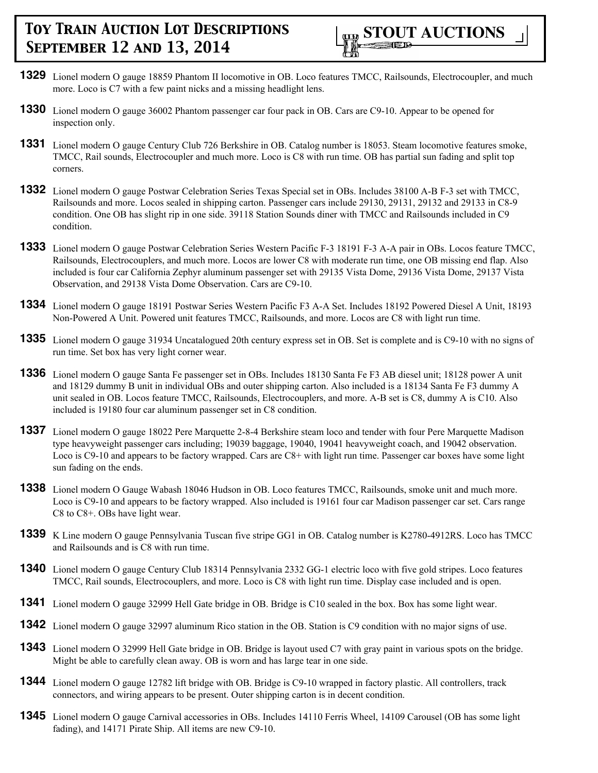- **1329** Lionel modern O gauge 18859 Phantom II locomotive in OB. Loco features TMCC, Railsounds, Electrocoupler, and much more. Loco is C7 with a few paint nicks and a missing headlight lens.
- **1330** Lionel modern O gauge 36002 Phantom passenger car four pack in OB. Cars are C9-10. Appear to be opened for inspection only.
- **1331** Lionel modern O gauge Century Club 726 Berkshire in OB. Catalog number is 18053. Steam locomotive features smoke, TMCC, Rail sounds, Electrocoupler and much more. Loco is C8 with run time. OB has partial sun fading and split top corners.
- **1332** Lionel modern O gauge Postwar Celebration Series Texas Special set in OBs. Includes 38100 A-B F-3 set with TMCC, Railsounds and more. Locos sealed in shipping carton. Passenger cars include 29130, 29131, 29132 and 29133 in C8-9 condition. One OB has slight rip in one side. 39118 Station Sounds diner with TMCC and Railsounds included in C9 condition.
- **1333** Lionel modern O gauge Postwar Celebration Series Western Pacific F-3 18191 F-3 A-A pair in OBs. Locos feature TMCC, Railsounds, Electrocouplers, and much more. Locos are lower C8 with moderate run time, one OB missing end flap. Also included is four car California Zephyr aluminum passenger set with 29135 Vista Dome, 29136 Vista Dome, 29137 Vista Observation, and 29138 Vista Dome Observation. Cars are C9-10.
- **1334** Lionel modern O gauge 18191 Postwar Series Western Pacific F3 A-A Set. Includes 18192 Powered Diesel A Unit, 18193 Non-Powered A Unit. Powered unit features TMCC, Railsounds, and more. Locos are C8 with light run time.
- **1335** Lionel modern O gauge 31934 Uncatalogued 20th century express set in OB. Set is complete and is C9-10 with no signs of run time. Set box has very light corner wear.
- **1336** Lionel modern O gauge Santa Fe passenger set in OBs. Includes 18130 Santa Fe F3 AB diesel unit; 18128 power A unit and 18129 dummy B unit in individual OBs and outer shipping carton. Also included is a 18134 Santa Fe F3 dummy A unit sealed in OB. Locos feature TMCC, Railsounds, Electrocouplers, and more. A-B set is C8, dummy A is C10. Also included is 19180 four car aluminum passenger set in C8 condition.
- **1337** Lionel modern O gauge 18022 Pere Marquette 2-8-4 Berkshire steam loco and tender with four Pere Marquette Madison type heavyweight passenger cars including; 19039 baggage, 19040, 19041 heavyweight coach, and 19042 observation. Loco is C9-10 and appears to be factory wrapped. Cars are C8+ with light run time. Passenger car boxes have some light sun fading on the ends.
- **1338** Lionel modern O Gauge Wabash 18046 Hudson in OB. Loco features TMCC, Railsounds, smoke unit and much more. Loco is C9-10 and appears to be factory wrapped. Also included is 19161 four car Madison passenger car set. Cars range C8 to C8+. OBs have light wear.
- **1339** K Line modern O gauge Pennsylvania Tuscan five stripe GG1 in OB. Catalog number is K2780-4912RS. Loco has TMCC and Railsounds and is C8 with run time.
- **1340** Lionel modern O gauge Century Club 18314 Pennsylvania 2332 GG-1 electric loco with five gold stripes. Loco features TMCC, Rail sounds, Electrocouplers, and more. Loco is C8 with light run time. Display case included and is open.
- **1341** Lionel modern O gauge 32999 Hell Gate bridge in OB. Bridge is C10 sealed in the box. Box has some light wear.
- **1342** Lionel modern O gauge 32997 aluminum Rico station in the OB. Station is C9 condition with no major signs of use.
- **1343** Lionel modern O 32999 Hell Gate bridge in OB. Bridge is layout used C7 with gray paint in various spots on the bridge. Might be able to carefully clean away. OB is worn and has large tear in one side.
- **1344** Lionel modern O gauge 12782 lift bridge with OB. Bridge is C9-10 wrapped in factory plastic. All controllers, track connectors, and wiring appears to be present. Outer shipping carton is in decent condition.
- **1345** Lionel modern O gauge Carnival accessories in OBs. Includes 14110 Ferris Wheel, 14109 Carousel (OB has some light fading), and 14171 Pirate Ship. All items are new C9-10.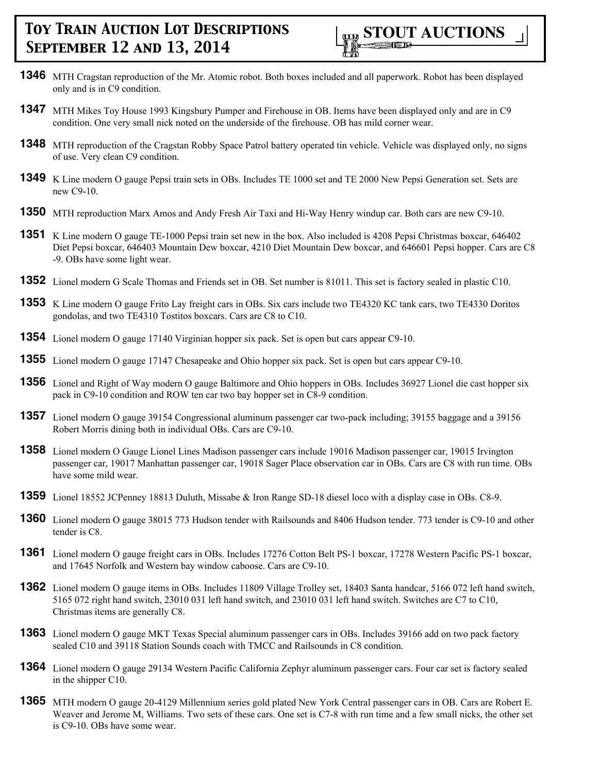- **1346** MTH Cragstan reproduction of the Mr. Atomic robot. Both boxes included and all paperwork. Robot has been displayed only and is in C9 condition.
- **1347** MTH Mikes Toy House 1993 Kingsbury Pumper and Firehouse in OB. Items have been displayed only and are in C9 condition. One very small nick noted on the underside of the firehouse. OB has mild corner wear.
- **1348** MTH reproduction of the Cragstan Robby Space Patrol battery operated tin vehicle. Vehicle was displayed only, no signs of use. Very clean C9 condition.
- **1349** K Line modern O gauge Pepsi train sets in OBs. Includes TE 1000 set and TE 2000 New Pepsi Generation set. Sets are new C9-10.
- **1350** MTH reproduction Marx Amos and Andy Fresh Air Taxi and Hi-Way Henry windup car. Both cars are new C9-10.
- **1351** K Line modern O gauge TE-1000 Pepsi train set new in the box. Also included is 4208 Pepsi Christmas boxcar, 646402 Diet Pepsi boxcar, 646403 Mountain Dew boxcar, 4210 Diet Mountain Dew boxcar, and 646601 Pepsi hopper. Cars are C8 -9. OBs have some light wear.
- **1352** Lionel modern G Scale Thomas and Friends set in OB. Set number is 81011. This set is factory sealed in plastic C10.
- **1353** K Line modern O gauge Frito Lay freight cars in OBs. Six cars include two TE4320 KC tank cars, two TE4330 Doritos gondolas, and two TE4310 Tostitos boxcars. Cars are C8 to C10.
- **1354** Lionel modern O gauge 17140 Virginian hopper six pack. Set is open but cars appear C9-10.
- **1355** Lionel modern O gauge 17147 Chesapeake and Ohio hopper six pack. Set is open but cars appear C9-10.
- **1356** Lionel and Right of Way modern O gauge Baltimore and Ohio hoppers in OBs. Includes 36927 Lionel die cast hopper six pack in C9-10 condition and ROW ten car two bay hopper set in C8-9 condition.
- **1357** Lionel modern O gauge 39154 Congressional aluminum passenger car two-pack including; 39155 baggage and a 39156 Robert Morris dining both in individual OBs. Cars are C9-10.
- **1358** Lionel modern O Gauge Lionel Lines Madison passenger cars include 19016 Madison passenger car, 19015 Irvington passenger car, 19017 Manhattan passenger car, 19018 Sager Place observation car in OBs. Cars are C8 with run time. OBs have some mild wear.
- **1359** Lionel 18552 JCPenney 18813 Duluth, Missabe & Iron Range SD-18 diesel loco with a display case in OBs. C8-9.
- **1360** Lionel modern O gauge 38015 773 Hudson tender with Railsounds and 8406 Hudson tender. 773 tender is C9-10 and other tender is C8.
- **1361** Lionel modern O gauge freight cars in OBs. Includes 17276 Cotton Belt PS-1 boxcar, 17278 Western Pacific PS-1 boxcar, and 17645 Norfolk and Western bay window caboose. Cars are C9-10.
- **1362** Lionel modern O gauge items in OBs. Includes 11809 Village Trolley set, 18403 Santa handcar, 5166 072 left hand switch, 5165 072 right hand switch, 23010 031 left hand switch, and 23010 031 left hand switch. Switches are C7 to C10, Christmas items are generally C8.
- **1363** Lionel modern O gauge MKT Texas Special aluminum passenger cars in OBs. Includes 39166 add on two pack factory sealed C10 and 39118 Station Sounds coach with TMCC and Railsounds in C8 condition.
- **1364** Lionel modern O gauge 29134 Western Pacific California Zephyr aluminum passenger cars. Four car set is factory sealed in the shipper C10.
- **1365** MTH modern O gauge 20-4129 Millennium series gold plated New York Central passenger cars in OB. Cars are Robert E. Weaver and Jerome M, Williams. Two sets of these cars. One set is C7-8 with run time and a few small nicks, the other set is C9-10. OBs have some wear.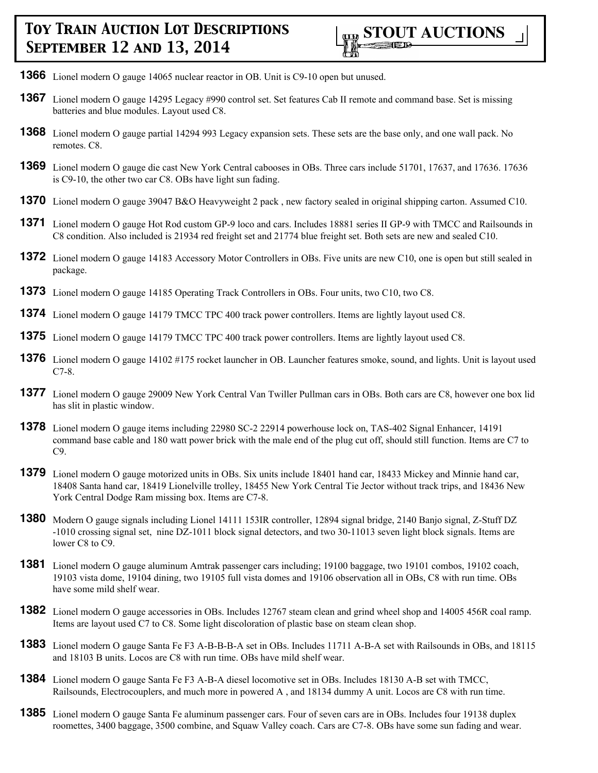- **1366** Lionel modern O gauge 14065 nuclear reactor in OB. Unit is C9-10 open but unused.
- **1367** Lionel modern O gauge 14295 Legacy #990 control set. Set features Cab II remote and command base. Set is missing batteries and blue modules. Layout used C8.
- **1368** Lionel modern O gauge partial 14294 993 Legacy expansion sets. These sets are the base only, and one wall pack. No remotes. C8.
- **1369** Lionel modern O gauge die cast New York Central cabooses in OBs. Three cars include 51701, 17637, and 17636. 17636 is C9-10, the other two car C8. OBs have light sun fading.
- **1370** Lionel modern O gauge 39047 B&O Heavyweight 2 pack, new factory sealed in original shipping carton. Assumed C10.
- **1371** Lionel modern O gauge Hot Rod custom GP-9 loco and cars. Includes 18881 series II GP-9 with TMCC and Railsounds in C8 condition. Also included is 21934 red freight set and 21774 blue freight set. Both sets are new and sealed C10.
- **1372** Lionel modern O gauge 14183 Accessory Motor Controllers in OBs. Five units are new C10, one is open but still sealed in package.
- **1373** Lionel modern O gauge 14185 Operating Track Controllers in OBs. Four units, two C10, two C8.
- **1374** Lionel modern O gauge 14179 TMCC TPC 400 track power controllers. Items are lightly layout used C8.
- **1375** Lionel modern O gauge 14179 TMCC TPC 400 track power controllers. Items are lightly layout used C8.
- **1376** Lionel modern O gauge 14102 #175 rocket launcher in OB. Launcher features smoke, sound, and lights. Unit is layout used C7-8.
- **1377** Lionel modern O gauge 29009 New York Central Van Twiller Pullman cars in OBs. Both cars are C8, however one box lid has slit in plastic window.
- **1378** Lionel modern O gauge items including 22980 SC-2 22914 powerhouse lock on, TAS-402 Signal Enhancer, 14191 command base cable and 180 watt power brick with the male end of the plug cut off, should still function. Items are C7 to C9.
- **1379** Lionel modern O gauge motorized units in OBs. Six units include 18401 hand car, 18433 Mickey and Minnie hand car, 18408 Santa hand car, 18419 Lionelville trolley, 18455 New York Central Tie Jector without track trips, and 18436 New York Central Dodge Ram missing box. Items are C7-8.
- **1380** Modern O gauge signals including Lionel 14111 153IR controller, 12894 signal bridge, 2140 Banjo signal, Z-Stuff DZ -1010 crossing signal set, nine DZ-1011 block signal detectors, and two 30-11013 seven light block signals. Items are lower C8 to C9.
- **1381** Lionel modern O gauge aluminum Amtrak passenger cars including; 19100 baggage, two 19101 combos, 19102 coach, 19103 vista dome, 19104 dining, two 19105 full vista domes and 19106 observation all in OBs, C8 with run time. OBs have some mild shelf wear.
- **1382** Lionel modern O gauge accessories in OBs. Includes 12767 steam clean and grind wheel shop and 14005 456R coal ramp. Items are layout used C7 to C8. Some light discoloration of plastic base on steam clean shop.
- **1383** Lionel modern O gauge Santa Fe F3 A-B-B-B-A set in OBs. Includes 11711 A-B-A set with Railsounds in OBs, and 18115 and 18103 B units. Locos are C8 with run time. OBs have mild shelf wear.
- **1384** Lionel modern O gauge Santa Fe F3 A-B-A diesel locomotive set in OBs. Includes 18130 A-B set with TMCC, Railsounds, Electrocouplers, and much more in powered A , and 18134 dummy A unit. Locos are C8 with run time.
- **1385** Lionel modern O gauge Santa Fe aluminum passenger cars. Four of seven cars are in OBs. Includes four 19138 duplex roomettes, 3400 baggage, 3500 combine, and Squaw Valley coach. Cars are C7-8. OBs have some sun fading and wear.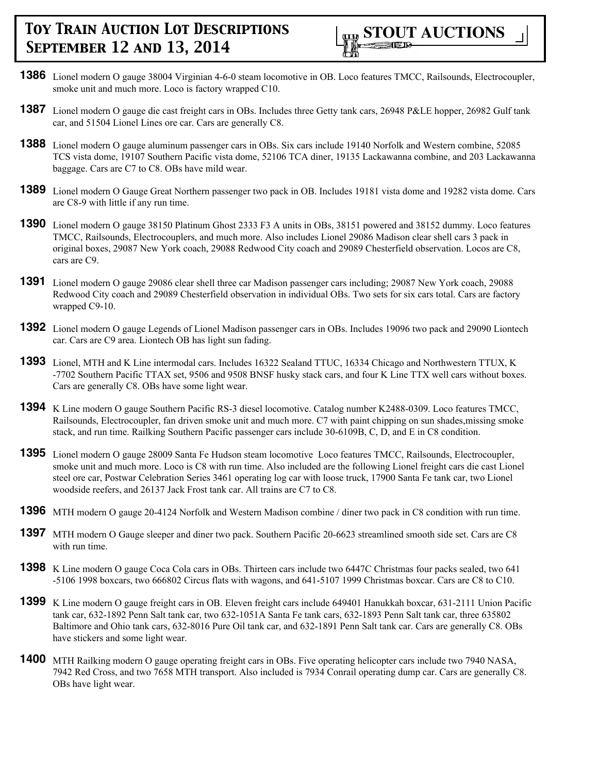

- **1386** Lionel modern O gauge 38004 Virginian 4-6-0 steam locomotive in OB. Loco features TMCC, Railsounds, Electrocoupler, smoke unit and much more. Loco is factory wrapped C10.
- **1387** Lionel modern O gauge die cast freight cars in OBs. Includes three Getty tank cars, 26948 P&LE hopper, 26982 Gulf tank car, and 51504 Lionel Lines ore car. Cars are generally C8.
- **1388** Lionel modern O gauge aluminum passenger cars in OBs. Six cars include 19140 Norfolk and Western combine, 52085 TCS vista dome, 19107 Southern Pacific vista dome, 52106 TCA diner, 19135 Lackawanna combine, and 203 Lackawanna baggage. Cars are C7 to C8. OBs have mild wear.
- **1389** Lionel modern O Gauge Great Northern passenger two pack in OB. Includes 19181 vista dome and 19282 vista dome. Cars are C8-9 with little if any run time.
- **1390** Lionel modern O gauge 38150 Platinum Ghost 2333 F3 A units in OBs, 38151 powered and 38152 dummy. Loco features TMCC, Railsounds, Electrocouplers, and much more. Also includes Lionel 29086 Madison clear shell cars 3 pack in original boxes, 29087 New York coach, 29088 Redwood City coach and 29089 Chesterfield observation. Locos are C8, cars are C9.
- **1391** Lionel modern O gauge 29086 clear shell three car Madison passenger cars including; 29087 New York coach, 29088 Redwood City coach and 29089 Chesterfield observation in individual OBs. Two sets for six cars total. Cars are factory wrapped C9-10.
- **1392** Lionel modern O gauge Legends of Lionel Madison passenger cars in OBs. Includes 19096 two pack and 29090 Liontech car. Cars are C9 area. Liontech OB has light sun fading.
- **1393** Lionel, MTH and K Line intermodal cars. Includes 16322 Sealand TTUC, 16334 Chicago and Northwestern TTUX, K -7702 Southern Pacific TTAX set, 9506 and 9508 BNSF husky stack cars, and four K Line TTX well cars without boxes. Cars are generally C8. OBs have some light wear.
- **1394** K Line modern O gauge Southern Pacific RS-3 diesel locomotive. Catalog number K2488-0309. Loco features TMCC, Railsounds, Electrocoupler, fan driven smoke unit and much more. C7 with paint chipping on sun shades,missing smoke stack, and run time. Railking Southern Pacific passenger cars include 30-6109B, C, D, and E in C8 condition.
- **1395** Lionel modern O gauge 28009 Santa Fe Hudson steam locomotive Loco features TMCC, Railsounds, Electrocoupler, smoke unit and much more. Loco is C8 with run time. Also included are the following Lionel freight cars die cast Lionel steel ore car, Postwar Celebration Series 3461 operating log car with loose truck, 17900 Santa Fe tank car, two Lionel woodside reefers, and 26137 Jack Frost tank car. All trains are C7 to C8.
- **1396** MTH modern O gauge 20-4124 Norfolk and Western Madison combine / diner two pack in C8 condition with run time.
- **1397** MTH modern O Gauge sleeper and diner two pack. Southern Pacific 20-6623 streamlined smooth side set. Cars are C8 with run time.
- **1398** K Line modern O gauge Coca Cola cars in OBs. Thirteen cars include two 6447C Christmas four packs sealed, two 641 -5106 1998 boxcars, two 666802 Circus flats with wagons, and 641-5107 1999 Christmas boxcar. Cars are C8 to C10.
- **1399** K Line modern O gauge freight cars in OB. Eleven freight cars include 649401 Hanukkah boxcar, 631-2111 Union Pacific tank car, 632-1892 Penn Salt tank car, two 632-1051A Santa Fe tank cars, 632-1893 Penn Salt tank car, three 635802 Baltimore and Ohio tank cars, 632-8016 Pure Oil tank car, and 632-1891 Penn Salt tank car. Cars are generally C8. OBs have stickers and some light wear.
- **1400** MTH Railking modern O gauge operating freight cars in OBs. Five operating helicopter cars include two 7940 NASA, 7942 Red Cross, and two 7658 MTH transport. Also included is 7934 Conrail operating dump car. Cars are generally C8. OBs have light wear.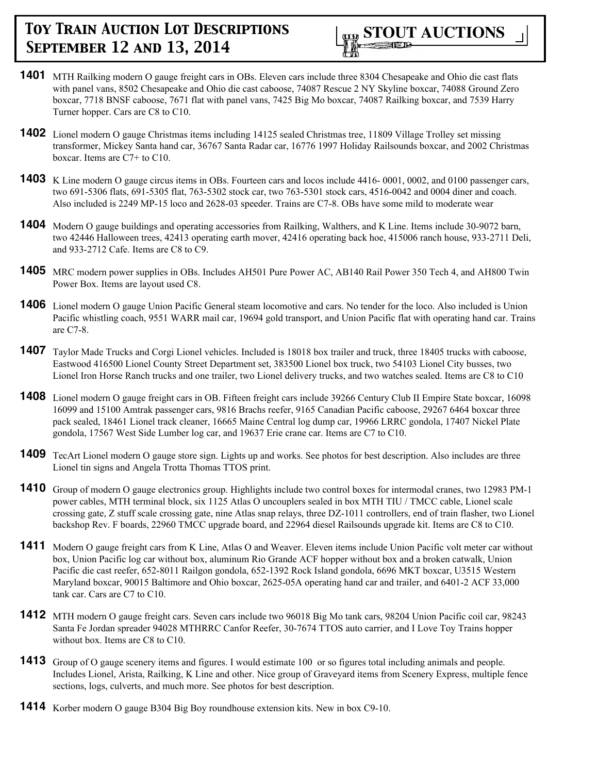- **1401** MTH Railking modern O gauge freight cars in OBs. Eleven cars include three 8304 Chesapeake and Ohio die cast flats with panel vans, 8502 Chesapeake and Ohio die cast caboose, 74087 Rescue 2 NY Skyline boxcar, 74088 Ground Zero boxcar, 7718 BNSF caboose, 7671 flat with panel vans, 7425 Big Mo boxcar, 74087 Railking boxcar, and 7539 Harry Turner hopper. Cars are C8 to C10.
- **1402** Lionel modern O gauge Christmas items including 14125 sealed Christmas tree, 11809 Village Trolley set missing transformer, Mickey Santa hand car, 36767 Santa Radar car, 16776 1997 Holiday Railsounds boxcar, and 2002 Christmas boxcar. Items are C7+ to C10.
- **1403** K Line modern O gauge circus items in OBs. Fourteen cars and locos include 4416-0001, 0002, and 0100 passenger cars, two 691-5306 flats, 691-5305 flat, 763-5302 stock car, two 763-5301 stock cars, 4516-0042 and 0004 diner and coach. Also included is 2249 MP-15 loco and 2628-03 speeder. Trains are C7-8. OBs have some mild to moderate wear
- **1404** Modern O gauge buildings and operating accessories from Railking, Walthers, and K Line. Items include 30-9072 barn, two 42446 Halloween trees, 42413 operating earth mover, 42416 operating back hoe, 415006 ranch house, 933-2711 Deli, and 933-2712 Cafe. Items are C8 to C9.
- **1405** MRC modern power supplies in OBs. Includes AH501 Pure Power AC, AB140 Rail Power 350 Tech 4, and AH800 Twin Power Box. Items are layout used C8.
- **1406** Lionel modern O gauge Union Pacific General steam locomotive and cars. No tender for the loco. Also included is Union Pacific whistling coach, 9551 WARR mail car, 19694 gold transport, and Union Pacific flat with operating hand car. Trains are C7-8.
- **1407** Taylor Made Trucks and Corgi Lionel vehicles. Included is 18018 box trailer and truck, three 18405 trucks with caboose, Eastwood 416500 Lionel County Street Department set, 383500 Lionel box truck, two 54103 Lionel City busses, two Lionel Iron Horse Ranch trucks and one trailer, two Lionel delivery trucks, and two watches sealed. Items are C8 to C10
- **1408** Lionel modern O gauge freight cars in OB. Fifteen freight cars include 39266 Century Club II Empire State boxcar, 16098 16099 and 15100 Amtrak passenger cars, 9816 Brachs reefer, 9165 Canadian Pacific caboose, 29267 6464 boxcar three pack sealed, 18461 Lionel track cleaner, 16665 Maine Central log dump car, 19966 LRRC gondola, 17407 Nickel Plate gondola, 17567 West Side Lumber log car, and 19637 Erie crane car. Items are C7 to C10.
- **1409** TecArt Lionel modern O gauge store sign. Lights up and works. See photos for best description. Also includes are three Lionel tin signs and Angela Trotta Thomas TTOS print.
- **1410** Group of modern O gauge electronics group. Highlights include two control boxes for intermodal cranes, two 12983 PM-1 power cables, MTH terminal block, six 1125 Atlas O uncouplers sealed in box MTH TIU / TMCC cable, Lionel scale crossing gate, Z stuff scale crossing gate, nine Atlas snap relays, three DZ-1011 controllers, end of train flasher, two Lionel backshop Rev. F boards, 22960 TMCC upgrade board, and 22964 diesel Railsounds upgrade kit. Items are C8 to C10.
- **1411** Modern O gauge freight cars from K Line, Atlas O and Weaver. Eleven items include Union Pacific volt meter car without box, Union Pacific log car without box, aluminum Rio Grande ACF hopper without box and a broken catwalk, Union Pacific die cast reefer, 652-8011 Railgon gondola, 652-1392 Rock Island gondola, 6696 MKT boxcar, U3515 Western Maryland boxcar, 90015 Baltimore and Ohio boxcar, 2625-05A operating hand car and trailer, and 6401-2 ACF 33,000 tank car. Cars are C7 to C10.
- **1412** MTH modern O gauge freight cars. Seven cars include two 96018 Big Mo tank cars, 98204 Union Pacific coil car, 98243 Santa Fe Jordan spreader 94028 MTHRRC Canfor Reefer, 30-7674 TTOS auto carrier, and I Love Toy Trains hopper without box. Items are C8 to C10.
- **1413** Group of O gauge scenery items and figures. I would estimate 100 or so figures total including animals and people. Includes Lionel, Arista, Railking, K Line and other. Nice group of Graveyard items from Scenery Express, multiple fence sections, logs, culverts, and much more. See photos for best description.
- **1414** Korber modern O gauge B304 Big Boy roundhouse extension kits. New in box C9-10.